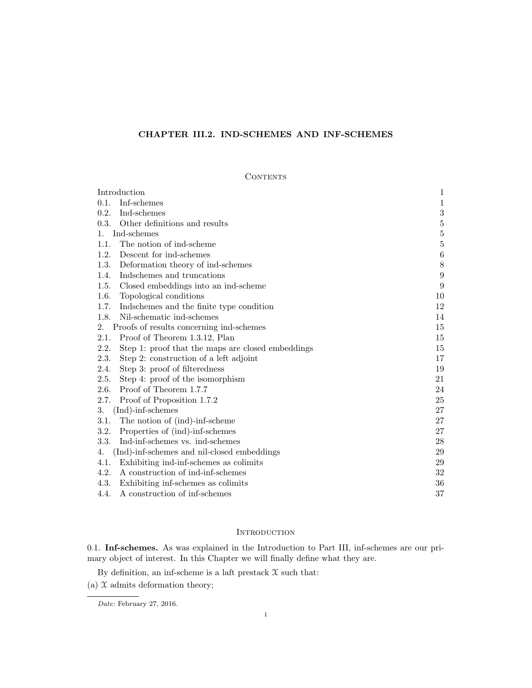# CHAPTER III.2. IND-SCHEMES AND INF-SCHEMES

# **CONTENTS**

| Introduction                                              | 1              |
|-----------------------------------------------------------|----------------|
| Inf-schemes<br>0.1.                                       | 1              |
| 0.2.<br>Ind-schemes                                       | $\sqrt{3}$     |
| 0.3.<br>Other definitions and results                     | $\bf 5$        |
| Ind-schemes<br>1.                                         | $\overline{5}$ |
| The notion of ind-scheme<br>1.1.                          | $\bf 5$        |
| Descent for ind-schemes<br>1.2.                           | $\,6\,$        |
| 1.3.<br>Deformation theory of ind-schemes                 | $8\,$          |
| Indschemes and truncations<br>1.4.                        | 9              |
| Closed embeddings into an ind-scheme<br>1.5.              | 9              |
| 1.6.<br>Topological conditions                            | 10             |
| 1.7.<br>Indschemes and the finite type condition          | 12             |
| Nil-schematic ind-schemes<br>1.8.                         | 14             |
| Proofs of results concerning ind-schemes<br>2.            | 15             |
| 2.1.<br>Proof of Theorem 1.3.12, Plan                     | 15             |
| 2.2.<br>Step 1: proof that the maps are closed embeddings | 15             |
| 2.3.<br>Step 2: construction of a left adjoint            | 17             |
| 2.4.<br>Step 3: proof of filteredness                     | 19             |
| 2.5.<br>Step 4: proof of the isomorphism                  | 21             |
| 2.6.<br>Proof of Theorem 1.7.7                            | 24             |
| 2.7.<br>Proof of Proposition 1.7.2                        | 25             |
| $(Ind)$ -inf-schemes<br>3.                                | 27             |
| 3.1.<br>The notion of (ind)-inf-scheme                    | 27             |
| 3.2.<br>Properties of (ind)-inf-schemes                   | 27             |
| 3.3.<br>Ind-inf-schemes vs. ind-schemes                   | 28             |
| (Ind)-inf-schemes and nil-closed embeddings<br>4.         | 29             |
| 4.1.<br>Exhibiting ind-inf-schemes as colimits            | 29             |
| A construction of ind-inf-schemes<br>4.2.                 | 32             |
| 4.3.<br>Exhibiting inf-schemes as colimits                | 36             |
| A construction of inf-schemes<br>4.4.                     | 37             |

# **INTRODUCTION**

0.1. Inf-schemes. As was explained in the Introduction to Part III, inf-schemes are our primary object of interest. In this Chapter we will finally define what they are.

By definition, an inf-scheme is a laft prestack  $\mathfrak X$  such that:

(a)  $\mathfrak X$  admits deformation theory;

Date: February 27, 2016.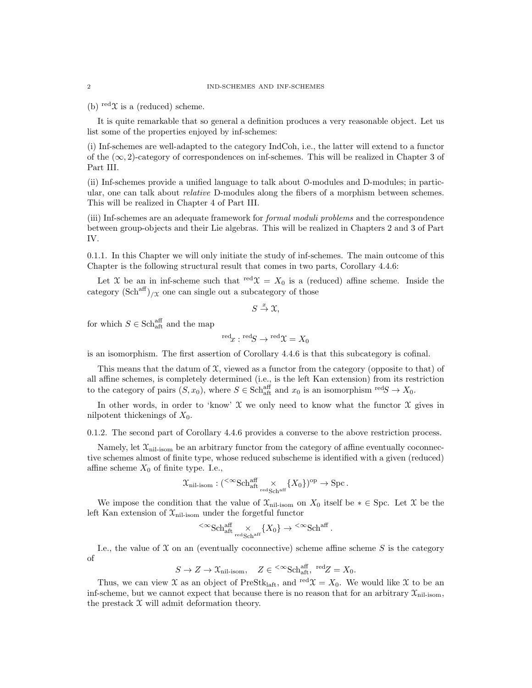(b) red $\mathfrak{X}$  is a (reduced) scheme.

It is quite remarkable that so general a definition produces a very reasonable object. Let us list some of the properties enjoyed by inf-schemes:

(i) Inf-schemes are well-adapted to the category IndCoh, i.e., the latter will extend to a functor of the  $(\infty, 2)$ -category of correspondences on inf-schemes. This will be realized in Chapter 3 of Part III.

(ii) Inf-schemes provide a unified language to talk about O-modules and D-modules; in particular, one can talk about *relative* D-modules along the fibers of a morphism between schemes. This will be realized in Chapter 4 of Part III.

(iii) Inf-schemes are an adequate framework for formal moduli problems and the correspondence between group-objects and their Lie algebras. This will be realized in Chapters 2 and 3 of Part IV.

0.1.1. In this Chapter we will only initiate the study of inf-schemes. The main outcome of this Chapter is the following structural result that comes in two parts, Corollary 4.4.6:

Let X be an in inf-scheme such that  $\text{red}\mathfrak{X} = X_0$  is a (reduced) affine scheme. Inside the category  $(\text{Sch}^{\text{aff}})_{/\mathfrak{X}}$  one can single out a subcategory of those

$$
S \stackrel{x}{\to} \mathfrak{X},
$$

for which  $S \in \text{Sch}^{\text{aff}}_{\text{aff}}$  and the map

$$
{}^{\text{red}}x: {}^{\text{red}}S \to {}^{\text{red}}\mathfrak{X} = X_0
$$

is an isomorphism. The first assertion of Corollary 4.4.6 is that this subcategory is cofinal.

This means that the datum of  $\mathfrak{X}$ , viewed as a functor from the category (opposite to that) of all affine schemes, is completely determined (i.e., is the left Kan extension) from its restriction to the category of pairs  $(S, x_0)$ , where  $S \in \text{Sch}_{\text{aff}}^{\text{aff}}$  and  $x_0$  is an isomorphism  $\text{red}S \to X_0$ .

In other words, in order to 'know'  $\mathfrak X$  we only need to know what the functor  $\mathfrak X$  gives in nilpotent thickenings of  $X_0$ .

0.1.2. The second part of Corollary 4.4.6 provides a converse to the above restriction process.

Namely, let  $\mathfrak{X}_{\text{nil-isom}}$  be an arbitrary functor from the category of affine eventually coconnective schemes almost of finite type, whose reduced subscheme is identified with a given (reduced) affine scheme  $X_0$  of finite type. I.e.,

$$
\mathfrak{X}_{\mathrm{nil\text{-}isom}}:({}^{<\infty}\mathrm{Sch}^{\mathrm{aff}}_{\mathrm{att}}\underset{\mathrm{red\,Sch}^{\mathrm{aff}}}{\times}\{X_0\})^{\mathrm{op}}\to \mathrm{Spc}\,.
$$

We impose the condition that the value of  $\mathfrak{X}_{\text{nil-isom}}$  on  $X_0$  itself be  $* \in \text{Spc}$ . Let X be the left Kan extension of  $\mathfrak{X}_{\text{nil-isom}}$  under the forgetful functor

$$
{}^{<\infty}\mathrm{Sch}^{\mathrm{aff}}_{\mathrm{at}}\underset{\mathrm{redSch}^{\mathrm{aff}}}{\times}\{X_0\}\to {}^{<\infty}\mathrm{Sch}^{\mathrm{aff}}
$$

.

I.e., the value of  $X$  on an (eventually coconnective) scheme affine scheme  $S$  is the category of

$$
S \to Z \to \mathcal{X}_{\text{nil-isom}}, \quad Z \in {}^{<\infty} \text{Sch}_{\text{aff}}^{\text{aff}}, \text{ red} Z = X_0.
$$

Thus, we can view X as an object of PreStk<sub>laft</sub>, and <sup>red</sup> $\mathfrak{X} = X_0$ . We would like X to be an inf-scheme, but we cannot expect that because there is no reason that for an arbitrary  $\mathfrak{X}_{\text{nil-isom}}$ , the prestack  $\mathfrak X$  will admit deformation theory.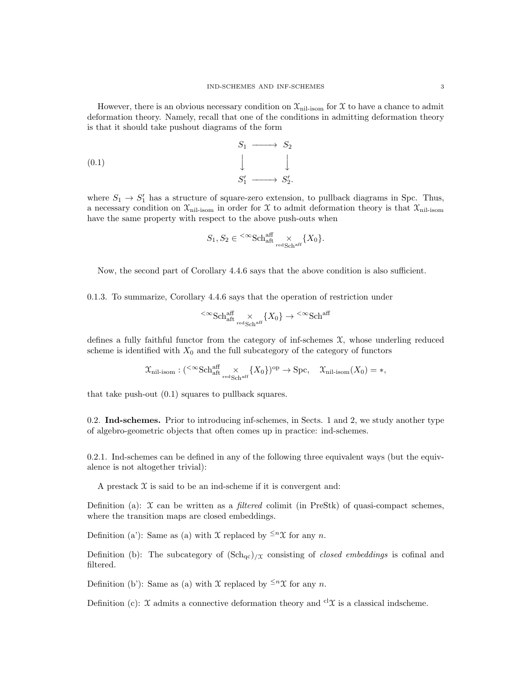However, there is an obvious necessary condition on  $\mathcal{X}_{\text{nil-isom}}$  for X to have a chance to admit deformation theory. Namely, recall that one of the conditions in admitting deformation theory is that it should take pushout diagrams of the form

$$
S_1 \longrightarrow S_2
$$
  
(0.1)  

$$
\downarrow \qquad \qquad \downarrow
$$
  

$$
S'_1 \longrightarrow S'_2.
$$

where  $S_1 \rightarrow S_1'$  has a structure of square-zero extension, to pullback diagrams in Spc. Thus, a necessary condition on  $\mathcal{X}_{\text{nil-isom}}$  in order for X to admit deformation theory is that  $\mathcal{X}_{\text{nil-isom}}$ have the same property with respect to the above push-outs when

$$
S_1, S_2 \in {}^{<\infty} {\rm Sch}^{\rm aff}_{\rm aff} \underset{{\rm redSch}^{\rm aff}}{\times} \{X_0\}.
$$

Now, the second part of Corollary 4.4.6 says that the above condition is also sufficient.

0.1.3. To summarize, Corollary 4.4.6 says that the operation of restriction under

$$
\left\langle\infty\right\rangle\left\langle\right\langle\left\langle\right\rangle_{\text{ref}}^{\text{aff}}\right\rangle\left\langle\left\langle X_{0}\right\rangle\right\rangle\left\langle\left\langle\right\rangle\left\langle\left\langle X_{0}\right\rangle\right\rangle_{\text{ref}}^{\text{aff}}
$$

defines a fully faithful functor from the category of inf-schemes  $\mathfrak{X}$ , whose underling reduced scheme is identified with  $X_0$  and the full subcategory of the category of functors

$$
\mathfrak{X}_{\text{nil-isom}} : ({}^{<\infty} {\text{Sch}}^{\text{aff}}_{{\text{alt}}}\underset{\text{redSch}^{\text{aff}}}{\times} \{X_0\})^{\text{op}} \to \text{Spc}, \quad \mathfrak{X}_{\text{nil-isom}}(X_0) = *,
$$

that take push-out (0.1) squares to pullback squares.

0.2. Ind-schemes. Prior to introducing inf-schemes, in Sects. 1 and 2, we study another type of algebro-geometric objects that often comes up in practice: ind-schemes.

0.2.1. Ind-schemes can be defined in any of the following three equivalent ways (but the equivalence is not altogether trivial):

A prestack  $X$  is said to be an ind-scheme if it is convergent and:

Definition (a):  $\mathcal X$  can be written as a *filtered* colimit (in PreStk) of quasi-compact schemes, where the transition maps are closed embeddings.

Definition (a'): Same as (a) with X replaced by  $\leq^n \mathfrak{X}$  for any n.

Definition (b): The subcategory of  $(\text{Sch}_{qc})_{\ell}$  consisting of *closed embeddings* is cofinal and filtered.

Definition (b'): Same as (a) with X replaced by  $\leq^n \mathfrak{X}$  for any n.

Definition (c): X admits a connective deformation theory and <sup>cl</sup>X is a classical indscheme.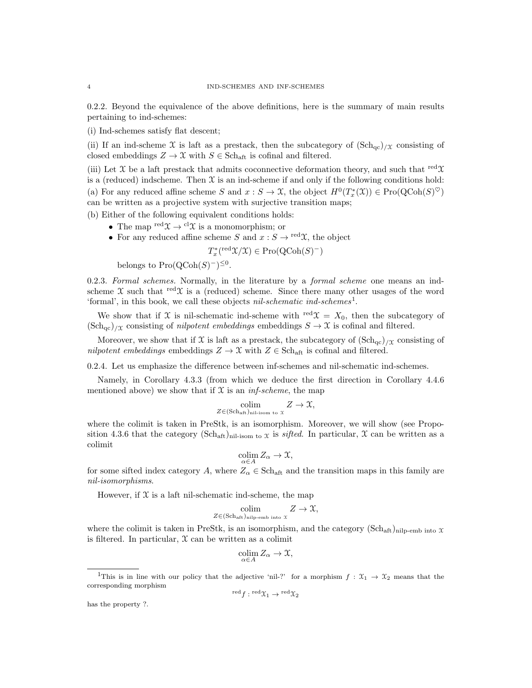0.2.2. Beyond the equivalence of the above definitions, here is the summary of main results pertaining to ind-schemes:

(i) Ind-schemes satisfy flat descent;

(ii) If an ind-scheme X is laft as a prestack, then the subcategory of  $(\text{Sch}_{ac})_{\ell}$  consisting of closed embeddings  $Z \to \mathfrak{X}$  with  $S \in Sch_{\text{aff}}$  is cofinal and filtered.

(iii) Let X be a laft prestack that admits coconnective deformation theory, and such that  $\text{red } \mathfrak{X}$ is a (reduced) indscheme. Then  $\mathfrak X$  is an ind-scheme if and only if the following conditions hold: (a) For any reduced affine scheme S and  $x : S \to \mathfrak{X}$ , the object  $H^0(T^*_x(\mathfrak{X})) \in \text{Pro}(\text{QCoh}(S)^{\heartsuit})$ can be written as a projective system with surjective transition maps;

(b) Either of the following equivalent conditions holds:

- The map  $\mathrm{red}\mathfrak{X} \to \mathrm{cl}\mathfrak{X}$  is a monomorphism; or
- For any reduced affine scheme S and  $x : S \to \text{red}\mathfrak{X}$ , the object

 $T_x^*$ <sup>(red</sup> $\mathfrak{X}/\mathfrak{X}$ ) ∈ Pro(QCoh(S)<sup>-</sup>)

belongs to  $\text{Pro}(\text{QCoh}(S)^-)^{\leq 0}$ .

0.2.3. Formal schemes. Normally, in the literature by a formal scheme one means an indscheme X such that red X is a (reduced) scheme. Since there many other usages of the word 'formal', in this book, we call these objects *nil-schematic ind-schemes*<sup>1</sup>.

We show that if X is nil-schematic ind-scheme with red $\mathfrak{X} = X_0$ , then the subcategory of  $(\text{Sch}_{\text{qc}})/\chi$  consisting of *nilpotent embeddings* embeddings  $S \to \chi$  is cofinal and filtered.

Moreover, we show that if X is laft as a prestack, the subcategory of  $(\text{Sch}_{\text{gc}})/\chi$  consisting of nilpotent embeddings embeddings  $Z \to \mathfrak{X}$  with  $Z \in Sch_{\text{aff.}}$  is cofinal and filtered.

0.2.4. Let us emphasize the difference between inf-schemes and nil-schematic ind-schemes.

Namely, in Corollary 4.3.3 (from which we deduce the first direction in Corollary 4.4.6 mentioned above) we show that if  $X$  is an *inf-scheme*, the map

$$
\underset{Z \in (\mathrm{Sch}_\mathrm{aft})_{\mathrm{nil-isom \ to} \ x}}{\mathrm{colim}} Z \to \mathfrak{X},
$$

where the colimit is taken in PreStk, is an isomorphism. Moreover, we will show (see Proposition 4.3.6 that the category (Sch<sub>aft</sub>)<sub>nil-isom to x</sub> is *sifted*. In particular,  $\mathcal X$  can be written as a colimit

$$
\operatorname*{colim}_{\alpha\in A} Z_{\alpha} \to \mathfrak{X},
$$

for some sifted index category A, where  $Z_{\alpha} \in Sch_{\text{aft}}$  and the transition maps in this family are nil-isomorphisms.

However, if  $X$  is a laft nil-schematic ind-scheme, the map

$$
\underset{Z \in (\text{Sch}_\text{aff})_{\text{nilp-emb into }X}}{\text{colim}} Z \to \mathfrak{X},
$$

where the colimit is taken in PreStk, is an isomorphism, and the category  $(Sch_{\text{aff}})_{\text{nilp-emb into }X}$ is filtered. In particular,  $X$  can be written as a colimit

$$
\operatornamewithlimits{colim}_{\alpha\in A} Z_\alpha\to\mathfrak X,
$$

$$
{}^{\text{red}}f:{}^{\text{red}}\mathfrak{X}_1\to{}^{\text{red}}\mathfrak{X}_2
$$

has the property ?.

<sup>&</sup>lt;sup>1</sup>This is in line with our policy that the adjective 'nil-?' for a morphism  $f: \mathfrak{X}_1 \to \mathfrak{X}_2$  means that the corresponding morphism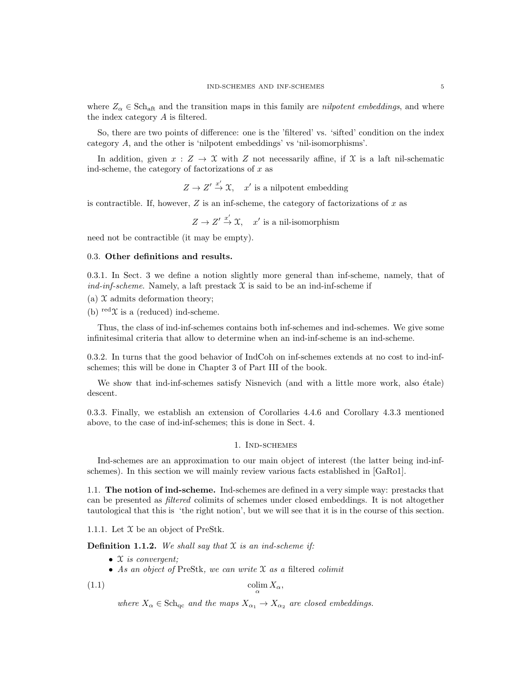where  $Z_{\alpha} \in \text{Sch}_{\text{aff}}$  and the transition maps in this family are *nilpotent embeddings*, and where the index category A is filtered.

So, there are two points of difference: one is the 'filtered' vs. 'sifted' condition on the index category A, and the other is 'nilpotent embeddings' vs 'nil-isomorphisms'.

In addition, given  $x : Z \to \mathcal{X}$  with Z not necessarily affine, if X is a laft nil-schematic ind-scheme, the category of factorizations of  $x$  as

 $Z \to Z' \stackrel{x'}{\to} \mathfrak{X}$ , x' is a nilpotent embedding

is contractible. If, however,  $Z$  is an inf-scheme, the category of factorizations of  $x$  as

 $Z \to Z' \stackrel{x'}{\to} \mathfrak{X}$ ,  $x'$  is a nil-isomorphism

need not be contractible (it may be empty).

### 0.3. Other definitions and results.

0.3.1. In Sect. 3 we define a notion slightly more general than inf-scheme, namely, that of ind-inf-scheme. Namely, a laft prestack  $\mathfrak X$  is said to be an ind-inf-scheme if

(a)  $\mathfrak X$  admits deformation theory;

(b)  $\text{red}\mathfrak{X}$  is a (reduced) ind-scheme.

Thus, the class of ind-inf-schemes contains both inf-schemes and ind-schemes. We give some infinitesimal criteria that allow to determine when an ind-inf-scheme is an ind-scheme.

0.3.2. In turns that the good behavior of IndCoh on inf-schemes extends at no cost to ind-infschemes; this will be done in Chapter 3 of Part III of the book.

We show that ind-inf-schemes satisfy Nisnevich (and with a little more work, also étale) descent.

0.3.3. Finally, we establish an extension of Corollaries 4.4.6 and Corollary 4.3.3 mentioned above, to the case of ind-inf-schemes; this is done in Sect. 4.

## 1. Ind-schemes

Ind-schemes are an approximation to our main object of interest (the latter being ind-infschemes). In this section we will mainly review various facts established in [GaRo1].

1.1. The notion of ind-scheme. Ind-schemes are defined in a very simple way: prestacks that can be presented as filtered colimits of schemes under closed embeddings. It is not altogether tautological that this is 'the right notion', but we will see that it is in the course of this section.

1.1.1. Let  $\mathfrak X$  be an object of PreStk.

**Definition 1.1.2.** We shall say that  $X$  is an ind-scheme if:

- $X$  is convergent;
- As an object of PreStk, we can write  $X$  as a filtered colimit

$$
(1.1)
$$

(1.1) colim  $\operatorname{colim} X_{\alpha}$ ,

where  $X_{\alpha} \in \text{Sch}_{\text{qc}}$  and the maps  $X_{\alpha_1} \to X_{\alpha_2}$  are closed embeddings.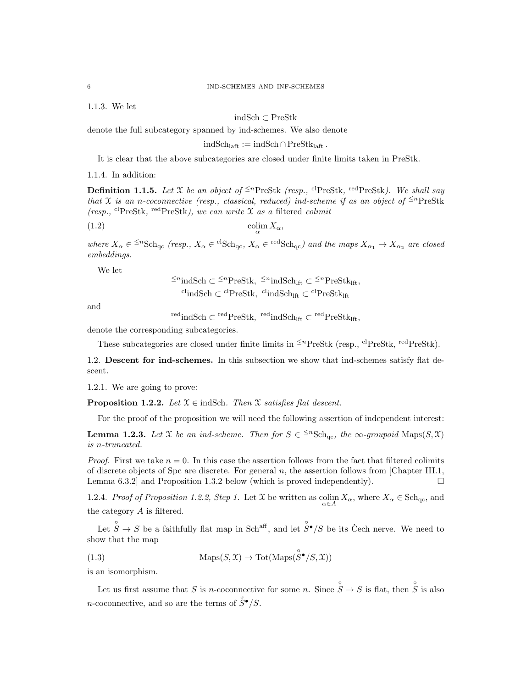1.1.3. We let

indSch ⊂ PreStk

denote the full subcategory spanned by ind-schemes. We also denote

 $indSch<sub>laff</sub> := indSch \cap PreStk<sub>laff</sub>$ .

It is clear that the above subcategories are closed under finite limits taken in PreStk.

1.1.4. In addition:

**Definition 1.1.5.** Let X be an object of <sup> $\leq n$ </sup>PreStk (resp., <sup>cl</sup>PreStk, <sup>red</sup>PreStk). We shall say that X is an n-coconnective (resp., classical, reduced) ind-scheme if as an object of  $\leq^{n}$ PreStk (resp., <sup>cl</sup>PreStk, <sup>red</sup>PreStk), we can write  $\mathfrak X$  as a filtered colimit

$$
\operatorname{colim}_{\alpha} X_{\alpha},
$$

where  $X_{\alpha} \in {}^{\leq n}Sch_{qc}$  (resp.,  $X_{\alpha} \in {}^{cl}Sch_{qc}$ ,  $X_{\alpha} \in {}^{red}Sch_{qc}$ ) and the maps  $X_{\alpha_1} \to X_{\alpha_2}$  are closed embeddings.

We let

$$
\leq^n \text{indSch} \subset \leq^n \text{PreStk}, \quad \leq^n \text{indSch}_{\text{lft}} \subset \leq^n \text{PreStk}_{\text{lft}},
$$
  
\n
$$
\leq^n \text{IndSch} \subset \leq^n \text{PreStk}_{\text{lft}}
$$

and

 $\mathrm{red}_\mathrm{indSch} \subset \mathrm{red}_\mathrm{PreStk}, \ \mathrm{red}_\mathrm{indSch}_\mathrm{lft} \subset \mathrm{red}_\mathrm{PreStk}_\mathrm{lft},$ 

denote the corresponding subcategories.

These subcategories are closed under finite limits in  $\leq^{n}$ PreStk (resp., <sup>cl</sup>PreStk, <sup>red</sup>PreStk).

1.2. Descent for ind-schemes. In this subsection we show that ind-schemes satisfy flat descent.

1.2.1. We are going to prove:

**Proposition 1.2.2.** Let  $\mathfrak{X} \in \text{indSch.}$  Then  $\mathfrak{X}$  satisfies flat descent.

For the proof of the proposition we will need the following assertion of independent interest:

**Lemma 1.2.3.** Let X be an ind-scheme. Then for  $S \in \{m\}$ Sch<sub>qc</sub>, the  $\infty$ -groupoid Maps $(S, \mathcal{X})$ is n-truncated.

*Proof.* First we take  $n = 0$ . In this case the assertion follows from the fact that filtered colimits of discrete objects of Spc are discrete. For general  $n$ , the assertion follows from [Chapter III.1, Lemma 6.3.2 and Proposition 1.3.2 below (which is proved independently).  $\Box$ 

1.2.4. Proof of Proposition 1.2.2, Step 1. Let X be written as  $\operatorname{colim}_{\alpha \in A} X_{\alpha}$ , where  $X_{\alpha} \in \text{Sch}_{q_c}$ , and the category A is filtered.

Let  $\hat{S} \to S$  be a faithfully flat map in Sch<sup>aff</sup>, and let  $\hat{S}^{\bullet}/S$  be its Čech nerve. We need to show that the map

(1.3) 
$$
\text{Maps}(S, \mathcal{X}) \to \text{Tot}(\text{Maps}(\overset{\circ}{S}^{\bullet}/S, \mathcal{X}))
$$

is an isomorphism.

Let us first assume that S is n-coconnective for some n. Since  $\hat{S} \to S$  is flat, then  $\hat{S}$  is also *n*-coconnective, and so are the terms of  $\hat{S}^{\bullet}/S$ .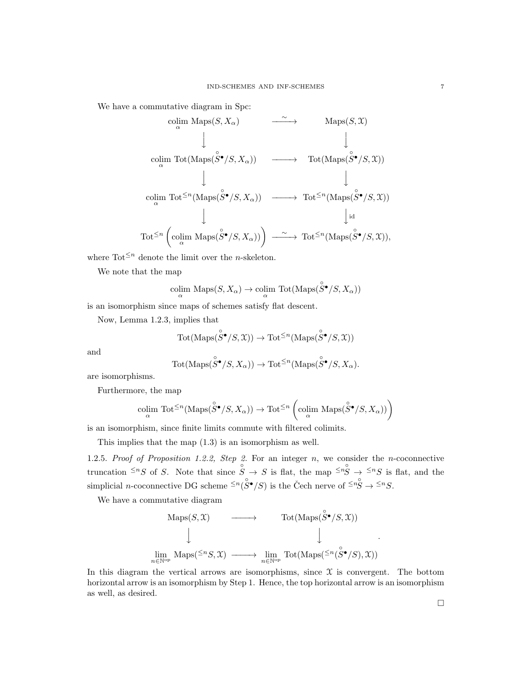We have a commutative diagram in Spc:

$$
\begin{array}{ccc}\n\text{colim Maps}(S, X_{\alpha}) & \xrightarrow{\sim} & \text{Maps}(S, \mathcal{X}) \\
\downarrow & & \downarrow & \\
\text{colim Tot}(\text{Maps}(\overset{\circ}{S}^{\bullet}/S, X_{\alpha})) & \longrightarrow & \text{Tot}(\text{Maps}(\overset{\circ}{S}^{\bullet}/S, \mathcal{X})) \\
\downarrow & & \downarrow & \\
\text{colim Tot}^{\leq n}(\text{Maps}(\overset{\circ}{S}^{\bullet}/S, X_{\alpha})) & \longrightarrow & \text{Tot}^{\leq n}(\text{Maps}(\overset{\circ}{S}^{\bullet}/S, \mathcal{X})) \\
\downarrow & & \downarrow \\
\text{Tot}^{\leq n}(\text{colim Maps}(\overset{\circ}{S}^{\bullet}/S, X_{\alpha})) & \longrightarrow & \text{Tot}^{\leq n}(\text{Maps}(\overset{\circ}{S}^{\bullet}/S, \mathcal{X})),\n\end{array}
$$

where  $\text{Tot}^{\leq n}$  denote the limit over the *n*-skeleton.

We note that the map

$$
\operatornamewithlimits{colim}_{\alpha}\operatorname{Maps}(S,X_{\alpha})\to\operatornamewithlimits{colim}_{\alpha}\operatorname{Tot}(\operatorname{Maps}(\overset{\circ}{S}{}^{\bullet}/S,X_{\alpha}))
$$

is an isomorphism since maps of schemes satisfy flat descent.

Now, Lemma 1.2.3, implies that

$$
\text{Tot}(\text{Maps}(\overset{\circ}{S}{}^{\bullet}/S, \mathfrak{X})) \to \text{Tot}^{\leq n}(\text{Maps}(\overset{\circ}{S}{}^{\bullet}/S, \mathfrak{X}))
$$

and

$$
\text{Tot}(\text{Maps}(\overset{\circ}{S}\bullet /S, X_{\alpha})) \to \text{Tot}^{\leq n}(\text{Maps}(\overset{\circ}{S}\bullet /S, X_{\alpha}).
$$

are isomorphisms.

Furthermore, the map

$$
\underset{\alpha}{\text{colim }} \text{Tot}^{\leq n}(\text{Maps}(\overset{\circ}{S}\bullet/S, X_{\alpha})) \to \text{Tot}^{\leq n}\left(\underset{\alpha}{\text{colim }} \text{Maps}(\overset{\circ}{S}\bullet/S, X_{\alpha}))\right)
$$

is an isomorphism, since finite limits commute with filtered colimits.

This implies that the map (1.3) is an isomorphism as well.

1.2.5. Proof of Proposition 1.2.2, Step 2. For an integer  $n$ , we consider the *n*-coconnective truncation  $\leq^{n} S$  of S. Note that since  $\overrightarrow{S} \to S$  is flat, the map  $\leq^{n} S \to \leq^{n} S$  is flat, and the simplicial *n*-coconnective DG scheme  $\leq^n (\overset{\circ}{S} \bullet / S)$  is the Čech nerve of  $\leq^n \overset{\circ}{S} \to \leq^n S$ .

We have a commutative diagram

$$
\begin{array}{ccc}\n\text{Maps}(S, \mathfrak{X}) & \longrightarrow & \text{Tot}(\text{Maps}(\overset{\circ}{S}^{\bullet}/S, \mathfrak{X})) \\
\downarrow & & \downarrow \\
\lim_{n \in \mathbb{N}^{\text{op}}} \text{Maps}({}^{\leq n}S, \mathfrak{X}) & \longrightarrow & \lim_{n \in \mathbb{N}^{\text{op}}} \text{Tot}(\text{Maps}({}^{\leq n}(\overset{\circ}{S}^{\bullet}/S), \mathfrak{X}))\n\end{array}
$$

In this diagram the vertical arrows are isomorphisms, since  $\mathfrak X$  is convergent. The bottom horizontal arrow is an isomorphism by Step 1. Hence, the top horizontal arrow is an isomorphism as well, as desired.

.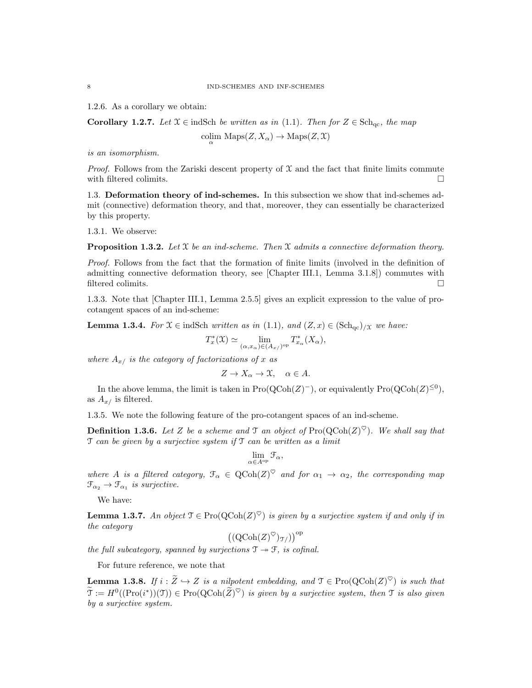1.2.6. As a corollary we obtain:

**Corollary 1.2.7.** Let  $\mathcal{X} \in \text{indSch}$  be written as in (1.1). Then for  $Z \in \text{Sch}_{\text{ac}}$ , the map

$$
\underset{\alpha}{\text{colim}} \ \mathrm{Maps}(Z, X_{\alpha}) \to \mathrm{Maps}(Z, \mathfrak{X})
$$

is an isomorphism.

*Proof.* Follows from the Zariski descent property of  $\mathfrak X$  and the fact that finite limits commute with filtered colimits.

1.3. Deformation theory of ind-schemes. In this subsection we show that ind-schemes admit (connective) deformation theory, and that, moreover, they can essentially be characterized by this property.

1.3.1. We observe:

**Proposition 1.3.2.** Let X be an ind-scheme. Then X admits a connective deformation theory.

Proof. Follows from the fact that the formation of finite limits (involved in the definition of admitting connective deformation theory, see [Chapter III.1, Lemma 3.1.8]) commutes with filtered colimits.  $\hfill \square$ 

1.3.3. Note that [Chapter III.1, Lemma 2.5.5] gives an explicit expression to the value of procotangent spaces of an ind-scheme:

**Lemma 1.3.4.** For  $\mathfrak{X} \in \text{indSch}$  written as in (1.1), and  $(Z, x) \in (\text{Sch}_{\text{qc}})_{/\mathfrak{X}}$  we have:

$$
T_x^*(\mathfrak{X}) \simeq \lim_{(\alpha,x_\alpha)\in (A_{x/})^{\text{op}}} T_{x_\alpha}^*(X_\alpha),
$$

where  $A_{x}$  is the category of factorizations of x as

$$
Z \to X_{\alpha} \to \mathfrak{X}, \quad \alpha \in A.
$$

In the above lemma, the limit is taken in  $\text{Pro}(\text{QCoh}(Z)^-)$ , or equivalently  $\text{Pro}(\text{QCoh}(Z)^{\leq 0})$ , as  $A_{x}$  is filtered.

1.3.5. We note the following feature of the pro-cotangent spaces of an ind-scheme.

**Definition 1.3.6.** Let Z be a scheme and T an object of  $\text{Pro}(\text{QCoh}(Z)^{\heartsuit})$ . We shall say that  $\mathcal T$  can be given by a surjective system if  $\mathcal T$  can be written as a limit

$$
\lim_{\alpha\in A^{\mathrm{op}}}\mathcal{F}_\alpha,
$$

where A is a filtered category,  $\mathcal{F}_{\alpha} \in \text{QCoh}(Z)^{\heartsuit}$  and for  $\alpha_1 \to \alpha_2$ , the corresponding map  $\mathfrak{F}_{\alpha_2} \to \mathfrak{F}_{\alpha_1}$  is surjective.

We have:

**Lemma 1.3.7.** An object  $\mathcal{T} \in \text{Pro}(\text{QCoh}(Z)^\heartsuit)$  is given by a surjective system if and only if in the category

$$
((\mathrm{QCoh}(Z)^\heartsuit)_{\mathfrak{I}/})^{\mathrm{op}}
$$

the full subcategory, spanned by surjections  $\mathcal{T} \rightarrow \mathcal{F}$ , is cofinal.

For future reference, we note that

**Lemma 1.3.8.** If  $i : \widetilde{Z} \hookrightarrow Z$  is a nilpotent embedding, and  $\mathfrak{T} \in \text{Pro}(\text{QCoh}(Z)^\heartsuit)$  is such that  $\widetilde{\mathfrak{T}} := H^0((\text{Pro}(i^*)) (\mathfrak{T})) \in \text{Pro}(\text{QCoh}(\widetilde{Z})^{\heartsuit})$  is given by a surjective system, then  $\mathfrak{T}$  is also given by a surjective system.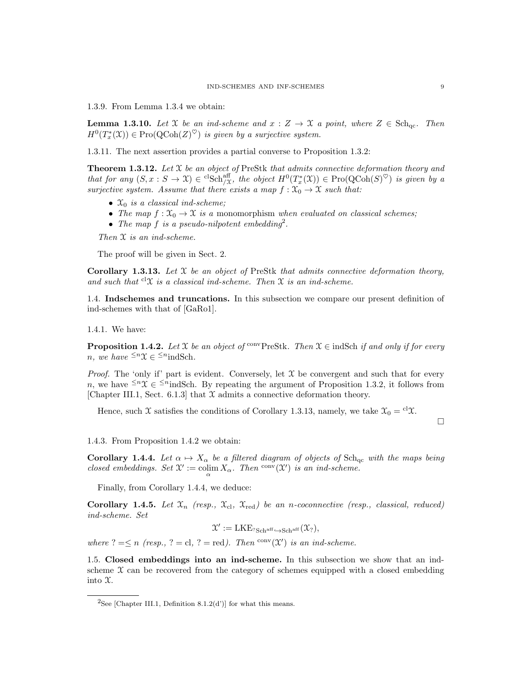1.3.9. From Lemma 1.3.4 we obtain:

**Lemma 1.3.10.** Let X be an ind-scheme and  $x : Z \to X$  a point, where  $Z \in \text{Sch}_{\text{ac}}$ . Then  $H^0(T^*_x(\mathfrak{X})) \in \mathrm{Pro}({\rm QCoh}(Z)^\heartsuit)$  is given by a surjective system.

1.3.11. The next assertion provides a partial converse to Proposition 1.3.2:

**Theorem 1.3.12.** Let  $\mathcal{X}$  be an object of PreStk that admits connective deformation theory and that for any  $(S, x : S \to \mathfrak{X}) \in {}^{cl}Sch^{\text{aff}}_{\mathfrak{X}}$ , the object  $H^0(T^*_x(\mathfrak{X})) \in \text{Pro}({\text{QCoh}}(S)^{\heartsuit})$  is given by a surjective system. Assume that there exists a map  $f: \mathfrak{X}_0 \to \mathfrak{X}$  such that:

- $\mathfrak{X}_0$  is a classical ind-scheme;
- The map  $f: \mathfrak{X}_0 \to \mathfrak{X}$  is a monomorphism when evaluated on classical schemes;
- The map f is a pseudo-nilpotent embedding<sup>2</sup>.

Then  $X$  is an ind-scheme.

The proof will be given in Sect. 2.

Corollary 1.3.13. Let  $\mathfrak X$  be an object of PreStk that admits connective deformation theory, and such that  ${}^{cl}\mathfrak{X}$  is a classical ind-scheme. Then  $\mathfrak{X}$  is an ind-scheme.

1.4. Indschemes and truncations. In this subsection we compare our present definition of ind-schemes with that of [GaRo1].

1.4.1. We have:

**Proposition 1.4.2.** Let X be an object of <sup>conv</sup>PreStk. Then  $X \in \text{indSch }$  if and only if for every n, we have  $\leq^n \mathfrak{X} \in \leq^n$ indSch.

*Proof.* The 'only if' part is evident. Conversely, let  $\mathcal X$  be convergent and such that for every n, we have  $\leq^n \mathfrak{X} \in \leq^n$  indSch. By repeating the argument of Proposition 1.3.2, it follows from [Chapter III.1, Sect. 6.1.3] that  $\mathfrak X$  admits a connective deformation theory.

Hence, such X satisfies the conditions of Corollary 1.3.13, namely, we take  $\mathcal{X}_0 = {}^{cl}\mathcal{X}$ .

 $\Box$ 

1.4.3. From Proposition 1.4.2 we obtain:

Corollary 1.4.4. Let  $\alpha \mapsto X_\alpha$  be a filtered diagram of objects of Sch<sub>qc</sub> with the maps being closed embeddings. Set  $\mathfrak{X}':=\operatornamewithlimits{colim}_{\alpha}X_{\alpha}$ . Then  $\operatornamewithlimits{conv}(\mathfrak{X}')$  is an ind-scheme.

Finally, from Corollary 1.4.4, we deduce:

**Corollary 1.4.5.** Let  $\mathfrak{X}_n$  (resp.,  $\mathfrak{X}_{\text{cl}}$ ,  $\mathfrak{X}_{\text{red}}$ ) be an n-coconnective (resp., classical, reduced) ind-scheme. Set

 $\mathcal{X}':=\text{LKE}_{? \text{Sch}^{\text{aff}} \hookrightarrow \text{Sch}^{\text{aff}}}(\mathcal{X}_{?}),$ 

where  $? = \leq n$  (resp.,  $? = \text{cl}, ? = \text{red}$ ). Then  $\text{conv}(\mathfrak{X}')$  is an ind-scheme.

1.5. Closed embeddings into an ind-scheme. In this subsection we show that an indscheme  $\mathfrak X$  can be recovered from the category of schemes equipped with a closed embedding into X.

<sup>&</sup>lt;sup>2</sup>See [Chapter III.1, Definition 8.1.2(d')] for what this means.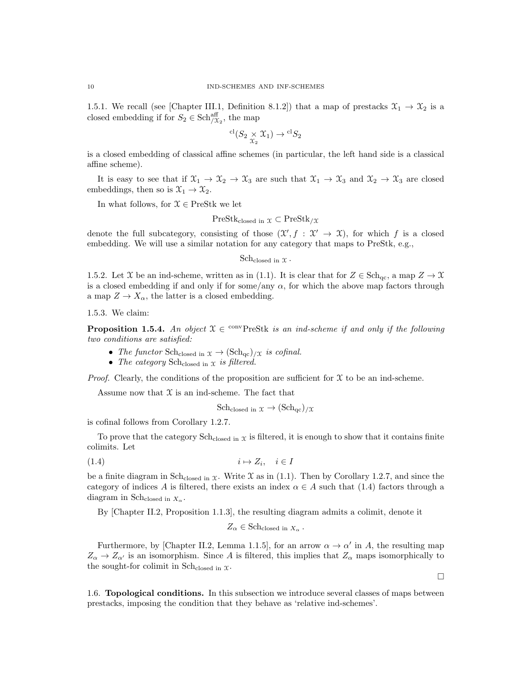1.5.1. We recall (see [Chapter III.1, Definition 8.1.2]) that a map of prestacks  $\mathcal{X}_1 \to \mathcal{X}_2$  is a closed embedding if for  $S_2 \in \text{Sch}_{/\mathfrak{X}_2}^{\text{aff}}$ , the map

$$
{}^{\mathrm{cl}}(S_2 \underset{\mathfrak{X}_2}{\times} \mathfrak{X}_1) \to {}^{\mathrm{cl}}S_2
$$

is a closed embedding of classical affine schemes (in particular, the left hand side is a classical affine scheme).

It is easy to see that if  $\mathfrak{X}_1 \to \mathfrak{X}_2 \to \mathfrak{X}_3$  are such that  $\mathfrak{X}_1 \to \mathfrak{X}_3$  and  $\mathfrak{X}_2 \to \mathfrak{X}_3$  are closed embeddings, then so is  $\mathfrak{X}_1 \to \mathfrak{X}_2$ .

In what follows, for  $\mathcal{X} \in \text{PreStk}$  we let

 $PreStk<sub>closed</sub>$  in  $\mathfrak{X} \subset PreStk_{}/\mathfrak{X}$ 

denote the full subcategory, consisting of those  $(\mathcal{X}, f : \mathcal{X} \to \mathcal{X})$ , for which f is a closed embedding. We will use a similar notation for any category that maps to PreStk, e.g.,

 $Sch_{closed in } \mathfrak{X}$ .

1.5.2. Let X be an ind-scheme, written as in (1.1). It is clear that for  $Z \in \text{Sch}_{\text{qc}}$ , a map  $Z \to \mathfrak{X}$ is a closed embedding if and only if for some/any  $\alpha$ , for which the above map factors through a map  $Z \to X_{\alpha}$ , the latter is a closed embedding.

1.5.3. We claim:

**Proposition 1.5.4.** An object  $X \in \text{convPrestk}$  is an ind-scheme if and only if the following two conditions are satisfied:

- The functor Sch<sub>closed in  $x \to (\text{Sch}_{qc})/x$  is cofinal.</sub>
- The category Sch $_{\text{closed in } X}$  is filtered.

*Proof.* Clearly, the conditions of the proposition are sufficient for  $\mathfrak X$  to be an ind-scheme.

Assume now that  $\mathfrak X$  is an ind-scheme. The fact that

 $\mathrm{Sch}_\mathrm{closed\ in\ \mathfrak{X}} \to (\mathrm{Sch}_\mathrm{qc})_{/\mathfrak{X}}$ 

is cofinal follows from Corollary 1.2.7.

To prove that the category  $Sch_{closed}$  in  $\chi$  is filtered, it is enough to show that it contains finite colimits. Let

$$
(1.4) \t\t i \mapsto Z_i, \t i \in I
$$

be a finite diagram in Sch<sub>closed</sub> in  $x$ . Write  $\mathcal X$  as in (1.1). Then by Corollary 1.2.7, and since the category of indices A is filtered, there exists an index  $\alpha \in A$  such that (1.4) factors through a diagram in Sch<sub>closed</sub> in  $X_\alpha$ .

By [Chapter II.2, Proposition 1.1.3], the resulting diagram admits a colimit, denote it

 $Z_{\alpha} \in \text{Sch}_\text{closed in } X_{\alpha}$ .

Furthermore, by [Chapter II.2, Lemma 1.1.5], for an arrow  $\alpha \to \alpha'$  in A, the resulting map  $Z_{\alpha} \to Z_{\alpha'}$  is an isomorphism. Since A is filtered, this implies that  $Z_{\alpha}$  maps isomorphically to the sought-for colimit in Sch<sub>closed</sub> in  $\mathfrak{X}$ .

1.6. Topological conditions. In this subsection we introduce several classes of maps between prestacks, imposing the condition that they behave as 'relative ind-schemes'.

 $\Box$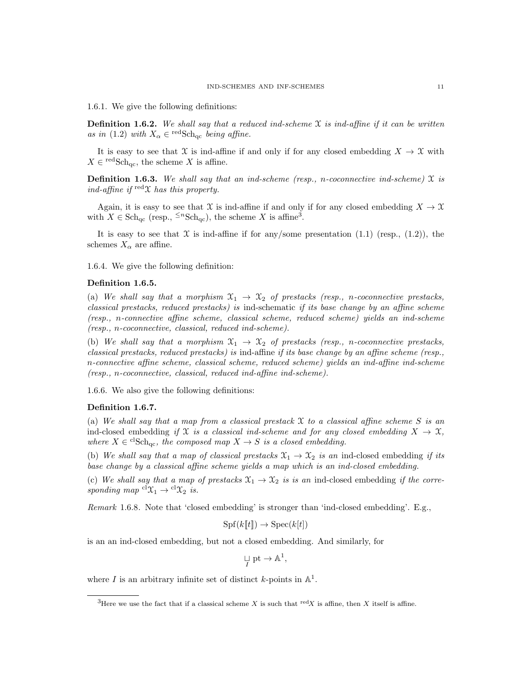1.6.1. We give the following definitions:

**Definition 1.6.2.** We shall say that a reduced ind-scheme  $\mathcal{X}$  is ind-affine if it can be written as in (1.2) with  $X_{\alpha} \in {}^{\text{red}}Sch_{\text{qc}}$  being affine.

It is easy to see that X is ind-affine if and only if for any closed embedding  $X \to \mathfrak{X}$  with  $X \in {}^{\text{red}}S\text{ch}_{\text{qc}},$  the scheme X is affine.

**Definition 1.6.3.** We shall say that an ind-scheme (resp., n-coconnective ind-scheme)  $\mathfrak{X}$  is ind-affine if  $\text{red}\mathfrak{X}$  has this property.

Again, it is easy to see that X is ind-affine if and only if for any closed embedding  $X \to \mathfrak{X}$ with  $X \in \text{Sch}_{\text{qc}}$  (resp.,  $\leq^n \text{Sch}_{\text{qc}}$ ), the scheme X is affine<sup>3</sup>.

It is easy to see that  $\mathfrak X$  is ind-affine if for any/some presentation (1.1) (resp., (1.2)), the schemes  $X_{\alpha}$  are affine.

1.6.4. We give the following definition:

#### Definition 1.6.5.

(a) We shall say that a morphism  $\mathfrak{X}_1 \to \mathfrak{X}_2$  of prestacks (resp., n-coconnective prestacks, classical prestacks, reduced prestacks) is ind-schematic if its base change by an affine scheme (resp., n-connective affine scheme, classical scheme, reduced scheme) yields an ind-scheme (resp., n-coconnective, classical, reduced ind-scheme).

(b) We shall say that a morphism  $\mathfrak{X}_1 \to \mathfrak{X}_2$  of prestacks (resp., n-coconnective prestacks, classical prestacks, reduced prestacks) is ind-affine if its base change by an affine scheme (resp., n-connective affine scheme, classical scheme, reduced scheme) yields an ind-affine ind-scheme (resp., n-coconnective, classical, reduced ind-affine ind-scheme).

1.6.6. We also give the following definitions:

#### Definition 1.6.7.

(a) We shall say that a map from a classical prestack  $\mathfrak X$  to a classical affine scheme S is an ind-closed embedding if X is a classical ind-scheme and for any closed embedding  $X \to \mathfrak{X}$ , where  $X \in {}^{cl}Sch_{qc}$ , the composed map  $X \to S$  is a closed embedding.

(b) We shall say that a map of classical prestacks  $\mathfrak{X}_1 \to \mathfrak{X}_2$  is an ind-closed embedding if its base change by a classical affine scheme yields a map which is an ind-closed embedding.

(c) We shall say that a map of prestacks  $\mathfrak{X}_1 \to \mathfrak{X}_2$  is is an ind-closed embedding if the corresponding map  ${}^{cl}\mathfrak{X}_1 \rightarrow {}^{cl}\mathfrak{X}_2$  is.

Remark 1.6.8. Note that 'closed embedding' is stronger than 'ind-closed embedding'. E.g.,

$$
Spf(k[[t]]) \to Spec(k[t])
$$

is an an ind-closed embedding, but not a closed embedding. And similarly, for

$$
\mathop{\sqcup}\limits_{I}\mathrm{pt}\to \mathbb{A}^1,
$$

where I is an arbitrary infinite set of distinct k-points in  $\mathbb{A}^1$ .

<sup>&</sup>lt;sup>3</sup>Here we use the fact that if a classical scheme X is such that <sup>red</sup>X is affine, then X itself is affine.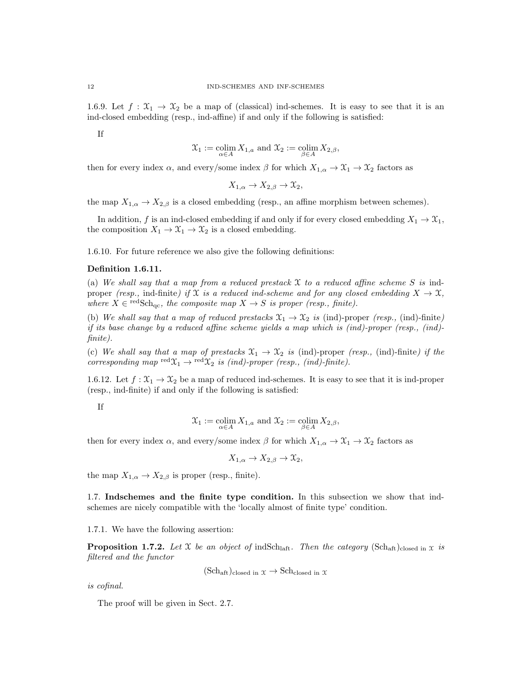1.6.9. Let  $f: \mathfrak{X}_1 \to \mathfrak{X}_2$  be a map of (classical) ind-schemes. It is easy to see that it is an ind-closed embedding (resp., ind-affine) if and only if the following is satisfied:

If

$$
\mathfrak{X}_1 := \operatornamewithlimits{colim}_{\alpha \in A} X_{1,a} \text{ and } \mathfrak{X}_2 := \operatornamewithlimits{colim}_{\beta \in A} X_{2,\beta},
$$

then for every index  $\alpha$ , and every/some index  $\beta$  for which  $X_{1,\alpha} \to \mathfrak{X}_1 \to \mathfrak{X}_2$  factors as

$$
X_{1,\alpha} \to X_{2,\beta} \to \mathfrak{X}_2,
$$

the map  $X_{1,\alpha} \to X_{2,\beta}$  is a closed embedding (resp., an affine morphism between schemes).

In addition, f is an ind-closed embedding if and only if for every closed embedding  $X_1 \to \mathfrak{X}_1$ , the composition  $X_1 \to \mathfrak{X}_1 \to \mathfrak{X}_2$  is a closed embedding.

1.6.10. For future reference we also give the following definitions:

#### Definition 1.6.11.

(a) We shall say that a map from a reduced prestack  $X$  to a reduced affine scheme S is indproper (resp., ind-finite) if X is a reduced ind-scheme and for any closed embedding  $X \to \mathfrak{X}$ , where  $X \in {}^{\text{red}}Sch_{qc}$ , the composite map  $X \to S$  is proper (resp., finite).

(b) We shall say that a map of reduced prestacks  $\mathfrak{X}_1 \to \mathfrak{X}_2$  is (ind)-proper (resp., (ind)-finite) if its base change by a reduced affine scheme yields a map which is (ind)-proper (resp., (ind) finite).

(c) We shall say that a map of prestacks  $\mathfrak{X}_1 \to \mathfrak{X}_2$  is (ind)-proper (resp., (ind)-finite) if the corresponding map  $\text{red}\,\mathfrak{X}_1 \rightarrow \text{red}\,\mathfrak{X}_2$  is (ind)-proper (resp., (ind)-finite).

1.6.12. Let  $f: \mathfrak{X}_1 \to \mathfrak{X}_2$  be a map of reduced ind-schemes. It is easy to see that it is ind-proper (resp., ind-finite) if and only if the following is satisfied:

If

$$
\mathfrak{X}_1 := \operatornamewithlimits{colim}_{\alpha \in A} X_{1,a} \text{ and } \mathfrak{X}_2 := \operatornamewithlimits{colim}_{\beta \in A} X_{2,\beta},
$$

then for every index  $\alpha$ , and every/some index  $\beta$  for which  $X_{1,\alpha} \to \mathfrak{X}_1 \to \mathfrak{X}_2$  factors as

 $X_{1,\alpha} \to X_{2,\beta} \to \mathfrak{X}_2,$ 

the map  $X_{1,\alpha} \to X_{2,\beta}$  is proper (resp., finite).

1.7. Indschemes and the finite type condition. In this subsection we show that indschemes are nicely compatible with the 'locally almost of finite type' condition.

#### 1.7.1. We have the following assertion:

**Proposition 1.7.2.** Let X be an object of indSch<sub>laft</sub>. Then the category (Sch<sub>aft)closed in x is</sub> filtered and the functor

$$
(Sch_{\text{aft}})_{closed \text{ in } \mathcal{X}} \to Sch_{closed \text{ in } \mathcal{X}}
$$

is cofinal.

The proof will be given in Sect. 2.7.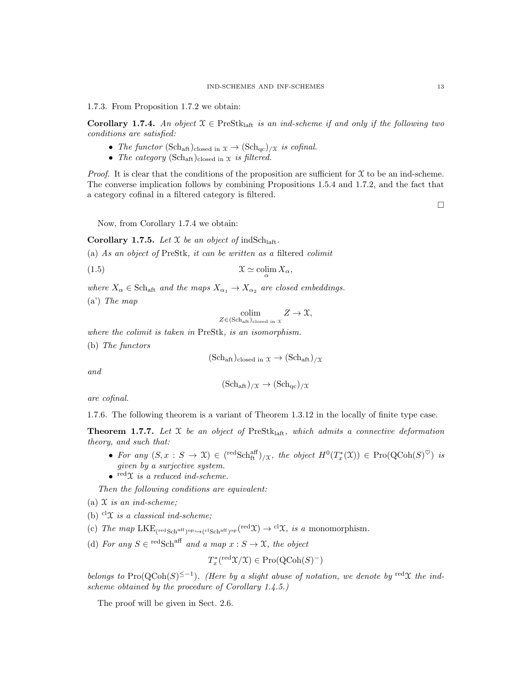1.7.3. From Proposition 1.7.2 we obtain:

**Corollary 1.7.4.** An object  $X \in \text{PreStk}_{\text{laff}}$  is an ind-scheme if and only if the following two conditions are satisfied:

- The functor (Sch<sub>aft</sub>)<sub>closed in  $x \to (\text{Sch}_{qc})_{/\mathfrak{X}}$  is cofinal.</sub>
- The category  $(\text{Sch}_{\text{aff}})_{\text{closed in } X}$  is filtered.

*Proof.* It is clear that the conditions of the proposition are sufficient for  $\mathfrak X$  to be an ind-scheme. The converse implication follows by combining Propositions 1.5.4 and 1.7.2, and the fact that a category cofinal in a filtered category is filtered.

 $\Box$ 

Now, from Corollary 1.7.4 we obtain:

**Corollary 1.7.5.** Let  $X$  be an object of indSch<sub>laft</sub>.

(a) As an object of PreStk, it can be written as a filtered colimit

(1.5) <sup>X</sup> ' colim<sup>α</sup> Xα,

where  $X_{\alpha} \in \text{Sch}_{\text{aff}}$  and the maps  $X_{\alpha_1} \to X_{\alpha_2}$  are closed embeddings. (a') The map

 $\operatorname{colim}_{Z \in (\text{Sch}_{\text{aff}})_{\text{closed in } X}} Z \to \mathfrak{X},$ 

where the colimit is taken in PreStk, is an isomorphism.

(b) The functors

 $(Sch_{\text{aft}})_{\text{closed in } \mathcal{X}} \to (Sch_{\text{aft}})_{/\mathcal{X}}$ 

and

$$
(\mathrm{Sch}_{\mathrm{aft}})_{/\mathfrak{X}} \to (\mathrm{Sch}_{\mathrm{qc}})_{/\mathfrak{X}}
$$

are cofinal.

1.7.6. The following theorem is a variant of Theorem 1.3.12 in the locally of finite type case.

**Theorem 1.7.7.** Let  $X$  be an object of PreStk<sub>laft</sub>, which admits a connective deformation theory, and such that:

- For any  $(S, x : S \to \mathfrak{X}) \in (\text{redSch}_{ft}^{aff})_{/\mathfrak{X}}$ , the object  $H^0(T^*_x(\mathfrak{X})) \in \text{Pro}(\text{QCoh}(S)^{\heartsuit})$  is given by a surjective system.
- $\bullet$  red $\chi$  is a reduced ind-scheme.

Then the following conditions are equivalent:

- (a)  $\mathfrak X$  is an ind-scheme:
- (b)  $c^{\text{d}}\mathcal{X}$  is a classical ind-scheme;
- (c) The map  $LKE_{(red Sch<sup>aff</sup>)^{op} \hookrightarrow (c^lSch<sup>aff</sup>)^{op}}(^{red}\mathfrak{X}) \rightarrow c^l\mathfrak{X}, \text{ is a monomorphism.}$
- (d) For any  $S \in {}^{\text{red}}S\text{ch}^{\text{aff}}$  and a map  $x : S \to \mathfrak{X}$ , the object

$$
T_x^*({\rm red}\mathfrak{X}/\mathfrak{X})\in {\rm Pro}({\rm QCoh}(S)^-)
$$

belongs to Pro(QCoh(S)<sup> $\leq -1$ </sup>). (Here by a slight abuse of notation, we denote by <sup>red</sup>X the indscheme obtained by the procedure of Corollary 1.4.5.)

The proof will be given in Sect. 2.6.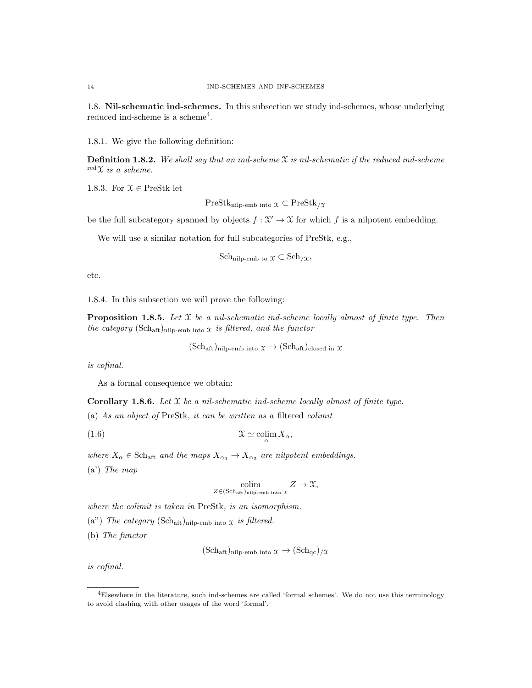1.8. Nil-schematic ind-schemes. In this subsection we study ind-schemes, whose underlying reduced ind-scheme is a scheme<sup>4</sup>.

1.8.1. We give the following definition:

**Definition 1.8.2.** We shall say that an ind-scheme  $\mathfrak X$  is nil-schematic if the reduced ind-scheme  $\mathrm{red} \chi$  is a scheme.

1.8.3. For  $\mathcal{X} \in \text{PreStk}$  let

 $PreStk_{nilp-emb~into} \chi \subset PreStk_{/\mathfrak{X}}$ 

be the full subcategory spanned by objects  $f: \mathcal{X}' \to \mathcal{X}$  for which f is a nilpotent embedding.

We will use a similar notation for full subcategories of PreStk, e.g.,

Sch<sub>nilp-emb to</sub> 
$$
\mathfrak{X} \subset
$$
 Sch $/\mathfrak{X}$ ,

etc.

1.8.4. In this subsection we will prove the following:

**Proposition 1.8.5.** Let  $\mathcal X$  be a nil-schematic ind-scheme locally almost of finite type. Then the category  $(\text{Sch}_{\text{aff}})_{\text{nilp-emb into X}}$  is filtered, and the functor

 $(\text{Sch}_{\text{aff}})_{\text{nilb-emb into }\mathfrak{X}} \to (\text{Sch}_{\text{aff}})_{\text{closed in }\mathfrak{X}}$ 

is cofinal.

As a formal consequence we obtain:

**Corollary 1.8.6.** Let  $X$  be a nil-schematic ind-scheme locally almost of finite type.

(a) As an object of PreStk, it can be written as a filtered colimit

(1.6) <sup>X</sup> ' colim<sup>α</sup> Xα,

where  $X_{\alpha} \in \text{Sch}_{\text{aff}}$  and the maps  $X_{\alpha_1} \to X_{\alpha_2}$  are nilpotent embeddings.  $(a')$  The map

$$
\underset{Z \in (\text{Sch}_{\text{aff}})_{\text{nilp-emb into }X}}{\text{colim}} Z \to \mathfrak{X},
$$

where the colimit is taken in PreStk, is an isomorphism.

(a") The category  $(\text{Sch}_{\text{aff}})_{\text{nilp-emb into }X}$  is filtered.

(b) The functor

$$
(\text{Sch}_{\text{aff}})_{\text{nilp-emb into}} \chi \to (\text{Sch}_{\text{qc}})_{/\mathcal{X}}
$$

is cofinal.

<sup>4</sup>Elsewhere in the literature, such ind-schemes are called 'formal schemes'. We do not use this terminology to avoid clashing with other usages of the word 'formal'.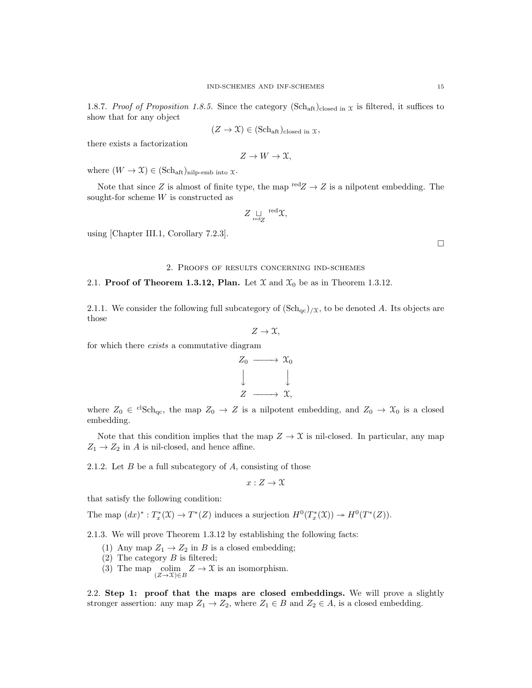1.8.7. Proof of Proposition 1.8.5. Since the category (Sch<sub>aft</sub>)<sub>closed in x</sub> is filtered, it suffices to show that for any object

$$
(Z \to \mathfrak{X}) \in (\mathbf{Sch}_{\mathbf{aft}})_{\text{closed in } \mathfrak{X}},
$$

there exists a factorization

$$
Z \to W \to \mathfrak{X},
$$

where  $(W \to \mathfrak{X}) \in (\text{Sch}_{\text{aff}})_{\text{nilp-emb into } \mathfrak{X}}$ .

Note that since Z is almost of finite type, the map  $\text{red}Z \rightarrow Z$  is a nilpotent embedding. The sought-for scheme W is constructed as

$$
Z \underset{\mathrm{red} Z}{\sqcup} \mathrm{~red} \chi,
$$

using [Chapter III.1, Corollary 7.2.3].

 $\Box$ 

#### 2. Proofs of results concerning ind-schemes

#### 2.1. Proof of Theorem 1.3.12, Plan. Let  $\mathfrak{X}$  and  $\mathfrak{X}_0$  be as in Theorem 1.3.12.

2.1.1. We consider the following full subcategory of  $(\text{Sch}_{qc})_{/X}$ , to be denoted A. Its objects are those

$$
Z \to \mathfrak{X},
$$

for which there *exists* a commutative diagram



where  $Z_0 \in {}^{cl}Sch_{qc}$ , the map  $Z_0 \to Z$  is a nilpotent embedding, and  $Z_0 \to \mathfrak{X}_0$  is a closed embedding.

Note that this condition implies that the map  $Z \to \mathfrak{X}$  is nil-closed. In particular, any map  $Z_1 \rightarrow Z_2$  in A is nil-closed, and hence affine.

2.1.2. Let  $B$  be a full subcategory of  $A$ , consisting of those

 $x: Z \to \mathfrak{X}$ 

that satisfy the following condition:

The map  $(dx)^*: T^*_x(\mathfrak{X}) \to T^*(Z)$  induces a surjection  $H^0(T^*_x(\mathfrak{X})) \to H^0(T^*(Z)).$ 

2.1.3. We will prove Theorem 1.3.12 by establishing the following facts:

- (1) Any map  $Z_1 \rightarrow Z_2$  in B is a closed embedding;
- (2) The category  $B$  is filtered;
- (3) The map  $\operatorname{colim}_{(Z\to X)\in B} Z \to \mathfrak{X}$  is an isomorphism.

2.2. Step 1: proof that the maps are closed embeddings. We will prove a slightly stronger assertion: any map  $Z_1 \to Z_2$ , where  $Z_1 \in B$  and  $Z_2 \in A$ , is a closed embedding.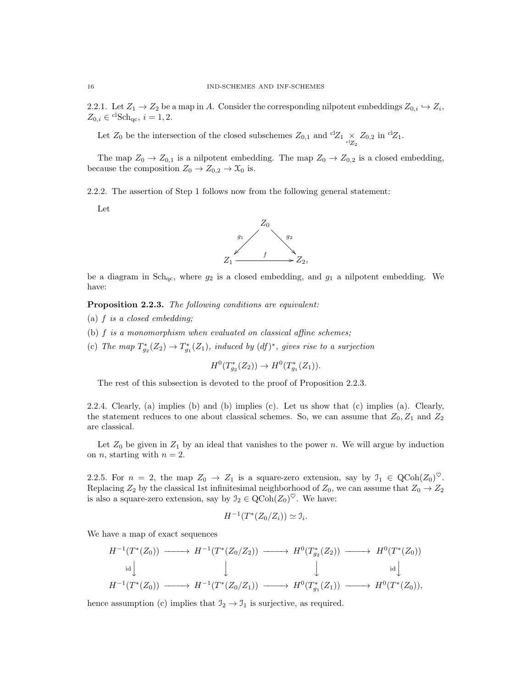2.2.1. Let  $Z_1 \to Z_2$  be a map in A. Consider the corresponding nilpotent embeddings  $Z_{0,i} \hookrightarrow Z_i$ ,  $Z_{0,i} \in {}^{\mathrm{cl}}\mathrm{Sch}_{\mathrm{qc}}, i = 1, 2.$ 

Let  $Z_0$  be the intersection of the closed subschemes  $Z_{0,1}$  and  ${}^{cl}Z_1 \underset{{}^{cl}Z_2}{\times} Z_{0,2}$  in  ${}^{cl}Z_1$ .

The map  $Z_0 \to Z_{0,1}$  is a nilpotent embedding. The map  $Z_0 \to Z_{0,2}$  is a closed embedding, because the composition  $Z_0 \to Z_{0,2} \to \mathfrak{X}_0$  is.

2.2.2. The assertion of Step 1 follows now from the following general statement:

Let



be a diagram in  $Sch_{qc}$ , where  $g_2$  is a closed embedding, and  $g_1$  a nilpotent embedding. We have:

Proposition 2.2.3. The following conditions are equivalent:

- (a) f is a closed embedding;
- (b) f is a monomorphism when evaluated on classical affine schemes;
- (c) The map  $T_{g_2}^*(Z_2) \to T_{g_1}^*(Z_1)$ , induced by  $(df)^*$ , gives rise to a surjection

 $H^0(T^*_{g_2}(Z_2)) \to H^0(T^*_{g_1}(Z_1)).$ 

The rest of this subsection is devoted to the proof of Proposition 2.2.3.

2.2.4. Clearly, (a) implies (b) and (b) implies (c). Let us show that (c) implies (a). Clearly, the statement reduces to one about classical schemes. So, we can assume that  $Z_0, Z_1$  and  $Z_2$ are classical.

Let  $Z_0$  be given in  $Z_1$  by an ideal that vanishes to the power n. We will argue by induction on *n*, starting with  $n = 2$ .

2.2.5. For  $n = 2$ , the map  $Z_0 \to Z_1$  is a square-zero extension, say by  $\mathcal{I}_1 \in \text{QCoh}(Z_0)^\heartsuit$ . Replacing  $Z_2$  by the classical 1st infinitesimal neighborhood of  $Z_0$ , we can assume that  $Z_0 \rightarrow Z_2$ is also a square-zero extension, say by  $\mathcal{I}_2 \in \text{QCoh}(Z_0)^\heartsuit$ . We have:

$$
H^{-1}(T^*(Z_0/Z_i)) \simeq \mathfrak{I}_i.
$$

We have a map of exact sequences

$$
H^{-1}(T^*(Z_0)) \longrightarrow H^{-1}(T^*(Z_0/Z_2)) \longrightarrow H^0(T^*_{g_2}(Z_2)) \longrightarrow H^0(T^*(Z_0))
$$
  
\n
$$
\downarrow \qquad \qquad \downarrow \qquad \qquad \downarrow
$$
  
\n
$$
H^{-1}(T^*(Z_0)) \longrightarrow H^{-1}(T^*(Z_0/Z_1)) \longrightarrow H^0(T^*_{g_1}(Z_1)) \longrightarrow H^0(T^*(Z_0)),
$$

hence assumption (c) implies that  $\mathcal{I}_2 \to \mathcal{I}_1$  is surjective, as required.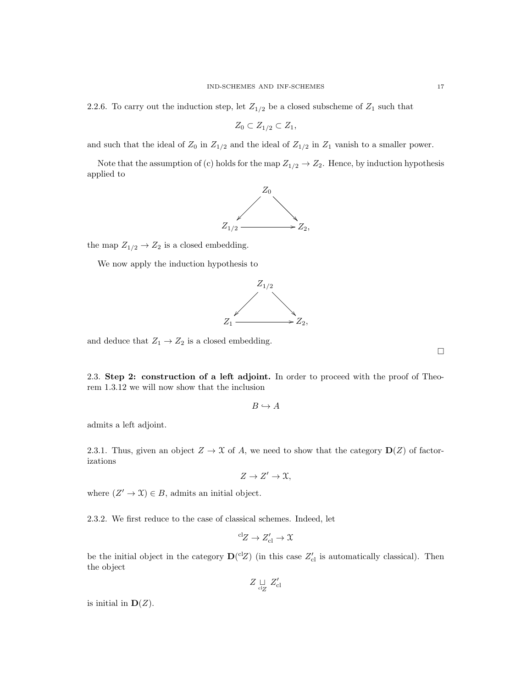2.2.6. To carry out the induction step, let  $Z_{1/2}$  be a closed subscheme of  $Z_1$  such that

$$
Z_0 \subset Z_{1/2} \subset Z_1,
$$

and such that the ideal of  $Z_0$  in  $Z_{1/2}$  and the ideal of  $Z_{1/2}$  in  $Z_1$  vanish to a smaller power.

Note that the assumption of (c) holds for the map  $Z_{1/2} \rightarrow Z_2$ . Hence, by induction hypothesis applied to



the map  $Z_{1/2} \rightarrow Z_2$  is a closed embedding.

We now apply the induction hypothesis to



and deduce that  $Z_1 \rightarrow Z_2$  is a closed embedding.

2.3. Step 2: construction of a left adjoint. In order to proceed with the proof of Theorem 1.3.12 we will now show that the inclusion

 $B \hookrightarrow A$ 

admits a left adjoint.

2.3.1. Thus, given an object  $Z \to \mathcal{X}$  of A, we need to show that the category  $\mathbf{D}(Z)$  of factorizations

$$
Z \to Z' \to \mathfrak{X},
$$

where  $(Z' \to \mathfrak{X}) \in B$ , admits an initial object.

2.3.2. We first reduce to the case of classical schemes. Indeed, let

$$
{}^{\mathrm{cl}}Z \to Z_{\mathrm{cl}}' \to \mathfrak{X}
$$

be the initial object in the category  $\mathbf{D}^{(c)}Z$  (in this case  $Z'_{c}$ ) is automatically classical). Then the object

 $Z \underset{\text{cl}Z}{\sqcup} Z'_{\text{cl}}$ 

is initial in  $D(Z)$ .

 $\Box$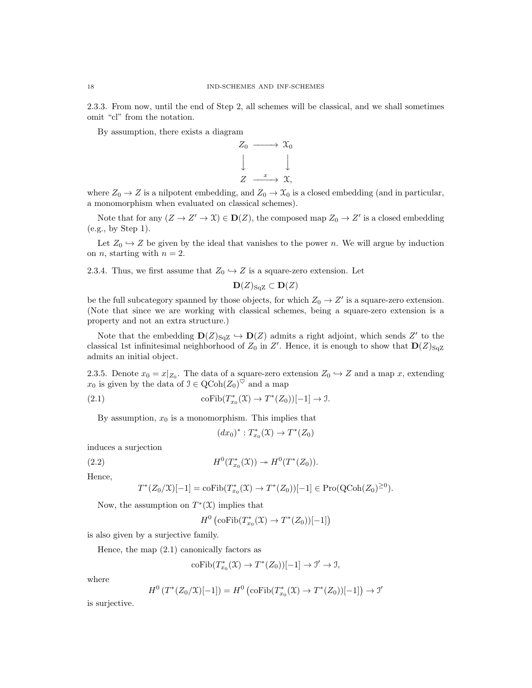2.3.3. From now, until the end of Step 2, all schemes will be classical, and we shall sometimes omit "cl" from the notation.

By assumption, there exists a diagram



where  $Z_0 \rightarrow Z$  is a nilpotent embedding, and  $Z_0 \rightarrow \mathfrak{X}_0$  is a closed embedding (and in particular, a monomorphism when evaluated on classical schemes).

Note that for any  $(Z \to Z' \to \mathfrak{X}) \in \mathbf{D}(Z)$ , the composed map  $Z_0 \to Z'$  is a closed embedding (e.g., by Step 1).

Let  $Z_0 \hookrightarrow Z$  be given by the ideal that vanishes to the power n. We will argue by induction on *n*, starting with  $n = 2$ .

2.3.4. Thus, we first assume that  $Z_0 \hookrightarrow Z$  is a square-zero extension. Let

$$
\mathbf{D}(Z)_{\text{SqZ}} \subset \mathbf{D}(Z)
$$

be the full subcategory spanned by those objects, for which  $Z_0 \to Z'$  is a square-zero extension. (Note that since we are working with classical schemes, being a square-zero extension is a property and not an extra structure.)

Note that the embedding  $\mathbf{D}(Z)_{\text{SqZ}} \hookrightarrow \mathbf{D}(Z)$  admits a right adjoint, which sends  $Z'$  to the classical 1st infinitesimal neighborhood of  $Z_0$  in  $Z'$ . Hence, it is enough to show that  $\mathbf{D}(Z)_{\text{SqZ}}$ admits an initial object.

2.3.5. Denote  $x_0 = x|_{Z_0}$ . The data of a square-zero extension  $Z_0 \hookrightarrow Z$  and a map x, extending  $x_0$  is given by the data of  $\mathfrak{I} \in \mathrm{QCoh}(Z_0)^\heartsuit$  and a map

(2.1) 
$$
\operatorname{coFib}(T_{x_0}^*(\mathfrak{X}) \to T^*(Z_0))[-1] \to \mathfrak{I}.
$$

By assumption,  $x_0$  is a monomorphism. This implies that

$$
(dx_0)^* : T^*_{x_0}(\mathfrak{X}) \to T^*(Z_0)
$$

induces a surjection

(2.2) 
$$
H^{0}(T^{*}_{x_{0}}(\mathfrak{X})) \twoheadrightarrow H^{0}(T^{*}(Z_{0})).
$$

Hence,

$$
T^*(Z_0/\mathfrak{X})[-1] = \mathrm{coFib}(T^*_{x_0}(\mathfrak{X}) \to T^*(Z_0))[-1] \in \mathrm{Pro}(\mathrm{QCoh}(Z_0)^{\geq 0}).
$$

Now, the assumption on  $T^*(\mathfrak{X})$  implies that

$$
H^0\left(\mathrm{coFib}(T_{x_0}^*(\mathfrak{X})\to T^*(Z_0))[-1]\right)
$$

is also given by a surjective family.

Hence, the map (2.1) canonically factors as

$$
\mathrm{coFib}(T^*_{x_0}(\mathfrak{X})\rightarrow T^*(Z_0))[-1]\rightarrow \mathfrak{I}'\rightarrow \mathfrak{I},
$$

where

$$
H^{0}(T^{*}(Z_{0}/X)[-1]) = H^{0}(\text{coFib}(T^{*}_{x_{0}}(X) \to T^{*}(Z_{0}))[-1]) \to \mathcal{I}'
$$

is surjective.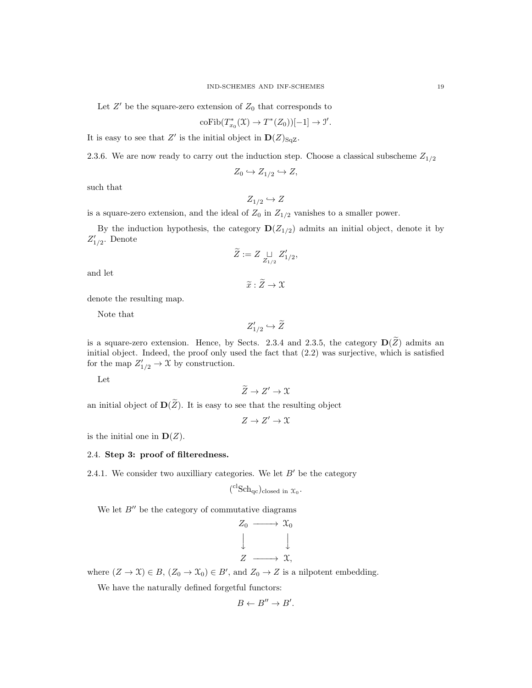Let  $Z'$  be the square-zero extension of  $Z_0$  that corresponds to

$$
\mathrm{coFib}(T_{x_0}^*(\mathfrak{X}) \to T^*(Z_0))[-1] \to \mathcal{I}'.
$$

It is easy to see that Z' is the initial object in  $\mathbf{D}(Z)_{\text{SqZ}}$ .

2.3.6. We are now ready to carry out the induction step. Choose a classical subscheme  $Z_{1/2}$ 

$$
Z_0 \hookrightarrow Z_{1/2} \hookrightarrow Z,
$$

such that

$$
Z_{1/2} \hookrightarrow Z
$$

is a square-zero extension, and the ideal of  $Z_0$  in  $Z_{1/2}$  vanishes to a smaller power.

By the induction hypothesis, the category  $\mathbf{D}(Z_{1/2})$  admits an initial object, denote it by  $Z'_{1/2}$ . Denote

$$
\widetilde{Z}:=Z\mathop{\sqcup}\limits_{Z_{1/2}}Z'_{1/2},
$$

and let

$$
\widetilde{x}:Z\to\mathfrak{X}
$$

denote the resulting map.

Note that

$$
Z'_{1/2}\hookrightarrow \widetilde{Z}
$$

is a square-zero extension. Hence, by Sects. 2.3.4 and 2.3.5, the category  $\mathbf{D}(\widetilde{Z})$  admits an initial object. Indeed, the proof only used the fact that (2.2) was surjective, which is satisfied for the map  $Z'_{1/2} \to \mathfrak{X}$  by construction.

Let

 $\widetilde{Z} \to Z' \to \mathfrak{X}$ 

an initial object of  $\mathbf{D}(\widetilde{Z})$ . It is easy to see that the resulting object

 $Z \to Z' \to \mathcal{X}$ 

is the initial one in  $D(Z)$ .

## 2.4. Step 3: proof of filteredness.

2.4.1. We consider two auxilliary categories. We let  $B'$  be the category

$$
({}^{cl}Sch_{qc})_{closed\ in\ \mathfrak{X}_0}.
$$

We let  $B''$  be the category of commutative diagrams

$$
Z_0 \longrightarrow X_0
$$
  

$$
\downarrow \qquad \qquad \downarrow
$$
  

$$
Z \longrightarrow X,
$$

where  $(Z \to \mathfrak{X}) \in B$ ,  $(Z_0 \to \mathfrak{X}_0) \in B'$ , and  $Z_0 \to Z$  is a nilpotent embedding.

We have the naturally defined forgetful functors:

$$
B \leftarrow B'' \rightarrow B'.
$$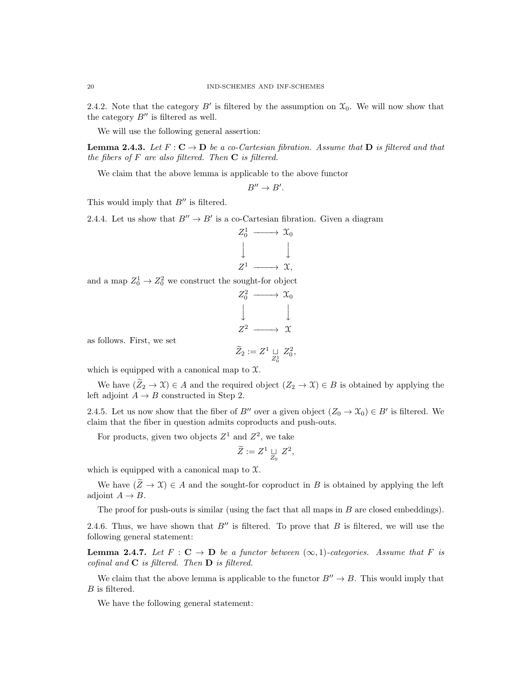2.4.2. Note that the category  $B'$  is filtered by the assumption on  $\mathfrak{X}_0$ . We will now show that the category  $B''$  is filtered as well.

We will use the following general assertion:

**Lemma 2.4.3.** Let  $F: \mathbb{C} \to \mathbb{D}$  be a co-Cartesian fibration. Assume that  $\mathbb{D}$  is filtered and that the fibers of  $F$  are also filtered. Then  $C$  is filtered.

We claim that the above lemma is applicable to the above functor

 $B'' \to B'$ .

This would imply that  $B''$  is filtered.

2.4.4. Let us show that  $B'' \to B'$  is a co-Cartesian fibration. Given a diagram

$$
Z_0^1 \longrightarrow X_0
$$
  

$$
\downarrow \qquad \qquad \downarrow
$$
  

$$
Z^1 \longrightarrow X,
$$

and a map  $Z_0^1 \to Z_0^2$  we construct the sought-for object

$$
Z_0^2 \longrightarrow X_0
$$
  

$$
\downarrow \qquad \qquad \downarrow
$$
  

$$
Z^2 \longrightarrow X
$$

as follows. First, we set

$$
\widetilde Z_2:=Z^1\mathop{\,\sqcup\,}_{Z_0^1} \, Z_0^2
$$

,

which is equipped with a canonical map to  $\mathfrak{X}$ .

We have  $(\widetilde{Z}_2 \to \mathfrak{X}) \in A$  and the required object  $(Z_2 \to \mathfrak{X}) \in B$  is obtained by applying the left adjoint  $A \rightarrow B$  constructed in Step 2.

2.4.5. Let us now show that the fiber of B'' over a given object  $(Z_0 \to \mathfrak{X}_0) \in B'$  is filtered. We claim that the fiber in question admits coproducts and push-outs.

For products, given two objects  $Z^1$  and  $Z^2$ , we take

$$
\widetilde{Z} := Z^1 \underset{Z_0}{\sqcup} Z^2,
$$

which is equipped with a canonical map to  $\mathfrak{X}$ .

We have  $(\widetilde{Z} \to \mathfrak{X}) \in A$  and the sought-for coproduct in B is obtained by applying the left adjoint  $A \rightarrow B$ .

The proof for push-outs is similar (using the fact that all maps in  $B$  are closed embeddings).

2.4.6. Thus, we have shown that  $B''$  is filtered. To prove that B is filtered, we will use the following general statement:

**Lemma 2.4.7.** Let  $F : \mathbf{C} \to \mathbf{D}$  be a functor between  $(\infty, 1)$ -categories. Assume that F is cofinal and  $C$  is filtered. Then  $D$  is filtered.

We claim that the above lemma is applicable to the functor  $B'' \to B$ . This would imply that B is filtered.

We have the following general statement: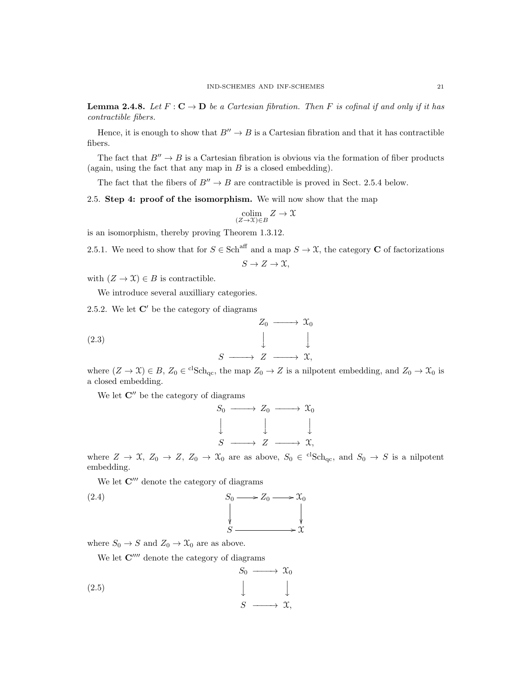**Lemma 2.4.8.** Let  $F: \mathbb{C} \to \mathbb{D}$  be a Cartesian fibration. Then F is cofinal if and only if it has contractible fibers.

Hence, it is enough to show that  $B'' \to B$  is a Cartesian fibration and that it has contractible fibers.

The fact that  $B'' \to B$  is a Cartesian fibration is obvious via the formation of fiber products (again, using the fact that any map in  $B$  is a closed embedding).

The fact that the fibers of  $B'' \to B$  are contractible is proved in Sect. 2.5.4 below.

2.5. Step 4: proof of the isomorphism. We will now show that the map

$$
\operatornamewithlimits{colim}_{(Z\to \mathfrak{X})\in B}Z\to \mathfrak{X}
$$

is an isomorphism, thereby proving Theorem 1.3.12.

2.5.1. We need to show that for  $S \in \text{Sch}^{\text{aff}}$  and a map  $S \to \mathfrak{X}$ , the category **C** of factorizations

$$
S \to Z \to \mathfrak{X},
$$

with  $(Z \to \mathfrak{X}) \in B$  is contractible.

We introduce several auxilliary categories.

2.5.2. We let  $\mathbb{C}'$  be the category of diagrams

(2.3) 
$$
Z_0 \longrightarrow \mathcal{X}_0
$$

$$
\downarrow \qquad \qquad \downarrow
$$

$$
S \longrightarrow Z \longrightarrow \mathcal{X},
$$

where  $(Z \to \mathfrak{X}) \in B$ ,  $Z_0 \in {}^{cl}Sch_{qc}$ , the map  $Z_0 \to Z$  is a nilpotent embedding, and  $Z_0 \to \mathfrak{X}_0$  is a closed embedding.

We let  $\mathbf{C}^{\prime\prime}$  be the category of diagrams

$$
S_0 \longrightarrow Z_0 \longrightarrow \mathfrak{X}_0
$$
  

$$
\downarrow \qquad \qquad \downarrow \qquad \qquad \downarrow
$$
  

$$
S \longrightarrow Z \longrightarrow \mathfrak{X},
$$

where  $Z \to \mathfrak{X}, Z_0 \to Z, Z_0 \to \mathfrak{X}_0$  are as above,  $S_0 \in {}^{cl}Sch_{qc}$ , and  $S_0 \to S$  is a nilpotent embedding.

We let  $\mathbf{C}^{\prime\prime\prime}$  denote the category of diagrams

(2.4) 
$$
S_0 \longrightarrow Z_0 \longrightarrow \mathcal{X}_0
$$

$$
\downarrow \qquad \qquad \downarrow
$$

$$
S \longrightarrow \mathcal{X}
$$

where  $S_0 \to S$  and  $Z_0 \to \mathfrak{X}_0$  are as above.

We let  $\mathbf{C}^{\prime\prime\prime\prime}$  denote the category of diagrams

$$
\begin{array}{ccc}\n & S_0 \longrightarrow & \mathfrak{X}_0 \\
 & \downarrow & \downarrow \\
 & S \longrightarrow & \mathfrak{X},\n\end{array}
$$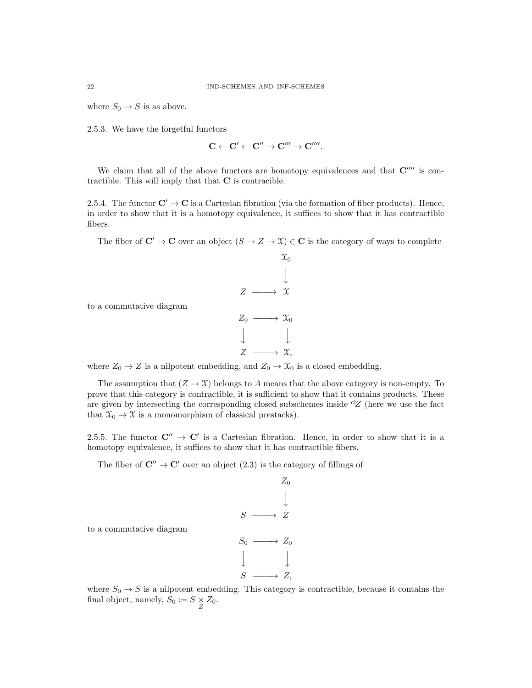where  $S_0 \to S$  is as above.

2.5.3. We have the forgetful functors

$$
\mathbf{C} \leftarrow \mathbf{C}' \leftarrow \mathbf{C}'' \rightarrow \mathbf{C}''' \rightarrow \mathbf{C}''''.
$$

We claim that all of the above functors are homotopy equivalences and that  $\mathbf{C}^{\prime\prime\prime\prime}$  is contractible. This will imply that that  $C$  is contracible.

2.5.4. The functor  $\mathbf{C}' \to \mathbf{C}$  is a Cartesian fibration (via the formation of fiber products). Hence, in order to show that it is a homotopy equivalence, it suffices to show that it has contractible fibers.

The fiber of  $\mathbb{C}' \to \mathbb{C}$  over an object  $(S \to Z \to \mathfrak{X}) \in \mathbb{C}$  is the category of ways to complete

 $\mathfrak{X}_0$ 

 $\downarrow$ 

to a commutative diagram

$$
Z \longrightarrow X
$$
  
\n
$$
Z_0 \longrightarrow X_0
$$
  
\n
$$
\downarrow \qquad \qquad \downarrow
$$
  
\n
$$
Z \longrightarrow X,
$$

where  $Z_0 \to Z$  is a nilpotent embedding, and  $Z_0 \to \mathfrak{X}_0$  is a closed embedding.

The assumption that  $(Z \to \mathfrak{X})$  belongs to A means that the above category is non-empty. To prove that this category is contractible, it is sufficient to show that it contains products. These are given by intersecting the corresponding closed subschemes inside  ${}^{cl}Z$  (here we use the fact that  $\mathfrak{X}_0 \rightarrow \mathfrak{X}$  is a monomorphism of classical prestacks).

2.5.5. The functor  $\mathbb{C}'' \to \mathbb{C}'$  is a Cartesian fibration. Hence, in order to show that it is a homotopy equivalence, it suffices to show that it has contractible fibers.

The fiber of  $\mathbb{C}'' \to \mathbb{C}'$  over an object (2.3) is the category of fillings of

$$
S \longrightarrow Z
$$
  
\n
$$
S \longrightarrow Z
$$
  
\n
$$
S_0 \longrightarrow Z_0
$$
  
\n
$$
\downarrow \qquad \qquad \downarrow
$$
  
\n
$$
S \longrightarrow Z,
$$

to a commutative diagram

where  $S_0 \rightarrow S$  is a nilpotent embedding. This category is contractible, because it contains the final object, namely,  $S_0 := S \times Z_0$ .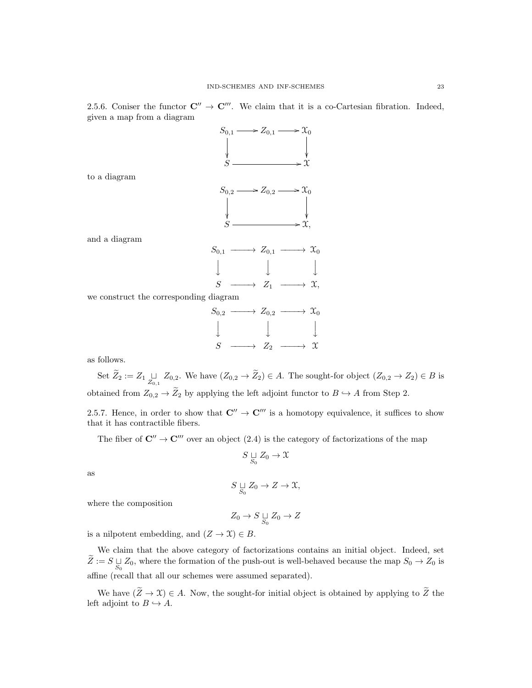2.5.6. Coniser the functor  $\mathbb{C}'' \to \mathbb{C}'''$ . We claim that it is a co-Cartesian fibration. Indeed, given a map from a diagram

 $S_{0,1} \longrightarrow Z_{0,1} \longrightarrow \mathfrak{X}_0$  $\frac{1}{2}$ ľ  $S \longrightarrow \begin{matrix} \downarrow & & \downarrow & & \downarrow \\ \downarrow & & & \downarrow & & \downarrow \\ S \longrightarrow & \sim & \sim & \sim \end{matrix}$  $S_{0,2} \longrightarrow Z_{0,2} \longrightarrow \mathfrak{X}_0$ ŗ ľ.  $S \longrightarrow x,$  $S_{0,1} \longrightarrow Z_{0,1} \longrightarrow \mathfrak{X}_0$  $\downarrow$  $\downarrow$  $\downarrow$  $S \longrightarrow Z_1 \longrightarrow \mathfrak{X},$ we construct the corresponding diagram  $S_{0,2} \longrightarrow Z_{0,2} \longrightarrow \mathcal{X}_0$  $\downarrow$  $\downarrow$  $\downarrow$ 

and a diagram

to a diagram

as follows.

Set  $Z_2 := Z_1 \sqcup_{Z_{0,1}} Z_{0,2}$ . We have  $(Z_{0,2} \to Z_2) \in A$ . The sought-for object  $(Z_{0,2} \to Z_2) \in B$  is obtained from  $Z_{0,2} \to \widetilde{Z}_2$  by applying the left adjoint functor to  $B \hookrightarrow A$  from Step 2.

 $S \longrightarrow Z_2 \longrightarrow \mathfrak{X}$ 

2.5.7. Hence, in order to show that  $\mathbb{C}'' \to \mathbb{C}'''$  is a homotopy equivalence, it suffices to show that it has contractible fibers.

The fiber of  $\mathbb{C}'' \to \mathbb{C}'''$  over an object (2.4) is the category of factorizations of the map

$$
S \underset{S_0}{\sqcup} Z_0 \to \mathfrak{X}
$$

as

$$
S \underset{S_0}{\sqcup} Z_0 \to Z \to \mathfrak{X},
$$

where the composition

$$
Z_0 \to S \underset{S_0}{\sqcup} Z_0 \to Z
$$

is a nilpotent embedding, and  $(Z \to \mathfrak{X}) \in B$ .

We claim that the above category of factorizations contains an initial object. Indeed, set  $Z := S \sqcup_{S_0} Z_0$ , where the formation of the push-out is well-behaved because the map  $S_0 \to Z_0$  is affine (recall that all our schemes were assumed separated).

We have  $(\widetilde{Z} \to \mathfrak{X}) \in A$ . Now, the sought-for initial object is obtained by applying to  $\widetilde{Z}$  the left adjoint to  $B \hookrightarrow A$ .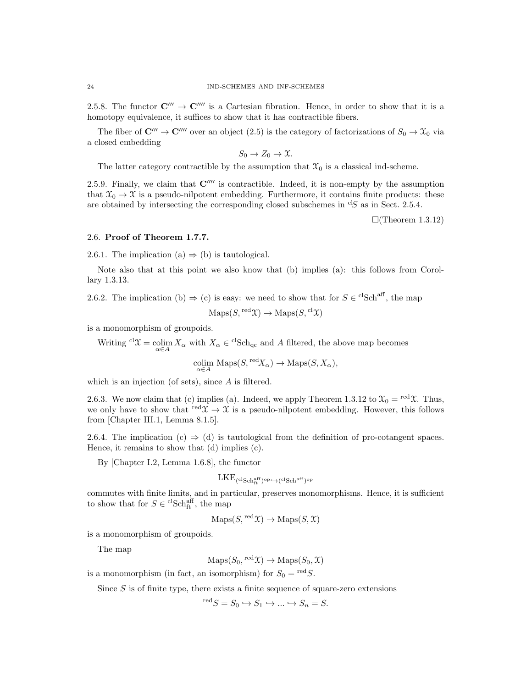2.5.8. The functor  $\mathbb{C}^{\prime\prime\prime}\rightarrow\mathbb{C}^{\prime\prime\prime\prime}$  is a Cartesian fibration. Hence, in order to show that it is a homotopy equivalence, it suffices to show that it has contractible fibers.

The fiber of  $\mathbb{C}''' \to \mathbb{C}'''$  over an object (2.5) is the category of factorizations of  $S_0 \to \mathfrak{X}_0$  via a closed embedding

 $S_0 \to Z_0 \to \mathfrak{X}.$ 

The latter category contractible by the assumption that  $\mathcal{X}_0$  is a classical ind-scheme.

2.5.9. Finally, we claim that  $\mathbb{C}^{m}$  is contractible. Indeed, it is non-empty by the assumption that  $\mathfrak{X}_0 \to \mathfrak{X}$  is a pseudo-nilpotent embedding. Furthermore, it contains finite products: these are obtained by intersecting the corresponding closed subschemes in  ${}^{cl}S$  as in Sect. 2.5.4.

 $\Box$ (Theorem 1.3.12)

# 2.6. Proof of Theorem 1.7.7.

2.6.1. The implication (a)  $\Rightarrow$  (b) is tautological.

Note also that at this point we also know that (b) implies (a): this follows from Corollary 1.3.13.

2.6.2. The implication (b)  $\Rightarrow$  (c) is easy: we need to show that for  $S \in {}^{cl}Sch<sup>aff</sup>$ , the map

 $\mathrm{Maps}(S, \mathrm{red}\mathfrak{X}) \to \mathrm{Maps}(S, \mathrm{cl}\mathfrak{X})$ 

is a monomorphism of groupoids.

Writing <sup>cl</sup> $\mathfrak{X} = \operatorname*{colim}_{\alpha \in A} X_{\alpha}$  with  $X_{\alpha} \in {}^{\text{cl}}Sch_{\text{qc}}$  and A filtered, the above map becomes colim  $\text{Maps}(S, \text{red}X_{\alpha}) \to \text{Maps}(S, X_{\alpha}),$ 

which is an injection (of sets), since A is filtered.

2.6.3. We now claim that (c) implies (a). Indeed, we apply Theorem 1.3.12 to  $\mathcal{X}_0 = {}^{\text{red}}\mathcal{X}$ . Thus, we only have to show that  $\text{red } \mathfrak{X} \to \mathfrak{X}$  is a pseudo-nilpotent embedding. However, this follows from [Chapter III.1, Lemma 8.1.5].

2.6.4. The implication (c)  $\Rightarrow$  (d) is tautological from the definition of pro-cotangent spaces. Hence, it remains to show that (d) implies (c).

By [Chapter I.2, Lemma 1.6.8], the functor

$$
\mathrm{LKE}_{\mathrm{(clSch^{\mathrm{aff}}_{\mathrm{ft}})^{\mathrm{op}}} \hookrightarrow \mathrm{(clSch^{\mathrm{aff}})^{\mathrm{op}}}
$$

commutes with finite limits, and in particular, preserves monomorphisms. Hence, it is sufficient to show that for  $S \in {}^{\mathrm{cl}}\mathrm{Sch}^{\mathrm{aff}}_{\mathrm{ft}}$ , the map

 $\mathrm{Maps}(S, \mathrm{red}\mathfrak{X}) \to \mathrm{Maps}(S, \mathfrak{X})$ 

is a monomorphism of groupoids.

The map

 $\mathrm{Maps}(S_0, \mathrm{red}\,\mathfrak{X}) \to \mathrm{Maps}(S_0, \mathfrak{X})$ 

is a monomorphism (in fact, an isomorphism) for  $S_0 = {}^{\text{red}}S$ .

Since  $S$  is of finite type, there exists a finite sequence of square-zero extensions

 $S^{red}S = S_0 \hookrightarrow S_1 \hookrightarrow ... \hookrightarrow S_n = S.$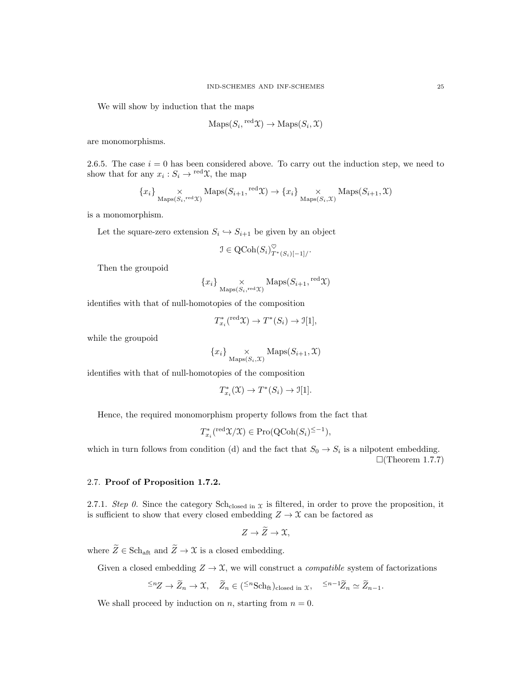We will show by induction that the maps

$$
\mathrm{Maps}(S_i, {}^{\mathrm{red}}\mathfrak{X}) \to \mathrm{Maps}(S_i, \mathfrak{X})
$$

are monomorphisms.

2.6.5. The case  $i = 0$  has been considered above. To carry out the induction step, we need to show that for any  $x_i : S_i \to {}^{\text{red}}\mathfrak{X}$ , the map

$$
\{x_i\} \underset{\mathrm{Maps}(S_i, \mathrm{red}\,\mathcal{X})}{\times} \mathrm{Maps}(S_{i+1}, \mathrm{red}\,\mathcal{X}) \to \{x_i\} \underset{\mathrm{Maps}(S_i, \mathcal{X})}{\times} \mathrm{Maps}(S_{i+1}, \mathcal{X})
$$

is a monomorphism.

Let the square-zero extension  $S_i \hookrightarrow S_{i+1}$  be given by an object

$$
\mathcal{I} \in \text{QCoh}(S_i)_{T^*(S_i)[-1]/}^{\heartsuit}.
$$

Then the groupoid

$$
{x_i}
$$
  $\underset{\text{Maps}(S_i, \text{red } \mathcal{X})}{\times}$  Maps $(S_{i+1}, \text{red } \mathcal{X})$ 

identifies with that of null-homotopies of the composition

$$
T_{x_i}^*({}^{\text{red}}\mathfrak{X}) \to T^*(S_i) \to \mathfrak{I}[1],
$$

while the groupoid

$$
\{x_i\}_{\text{Maps}(S_i, \mathcal{X})} \text{Maps}(S_{i+1}, \mathcal{X})
$$

identifies with that of null-homotopies of the composition

$$
T^*_{x_i}(\mathfrak{X}) \to T^*(S_i) \to \mathfrak{I}[1].
$$

Hence, the required monomorphism property follows from the fact that

$$
T_{x_i}^*({}^{\text{red}}\mathfrak{X}/\mathfrak{X}) \in \text{Pro}(\text{QCoh}(S_i)^{\leq -1}),
$$

which in turn follows from condition (d) and the fact that  $S_0 \to S_i$  is a nilpotent embedding.  $\Box$ (Theorem 1.7.7)

# 2.7. Proof of Proposition 1.7.2.

2.7.1. Step 0. Since the category Sch<sub>closed in  $x$  is filtered, in order to prove the proposition, it</sub> is sufficient to show that every closed embedding  $Z \to \mathfrak{X}$  can be factored as

$$
Z \to \tilde{Z} \to \mathfrak{X},
$$

where  $\widetilde{Z}\in \mathrm{Sch}_\mathrm{aft}$  and  $\widetilde{Z}\to \mathfrak{X}$  is a closed embedding.

Given a closed embedding  $Z \to \mathfrak{X}$ , we will construct a *compatible* system of factorizations

$$
\xi^n Z \to \widetilde{Z}_n \to \mathfrak{X}, \quad \widetilde{Z}_n \in (\xi^n \text{Sch}_\text{ft})_{\text{closed in } \mathfrak{X}}, \quad \xi^{n-1} \widetilde{Z}_n \simeq \widetilde{Z}_{n-1}.
$$

We shall proceed by induction on *n*, starting from  $n = 0$ .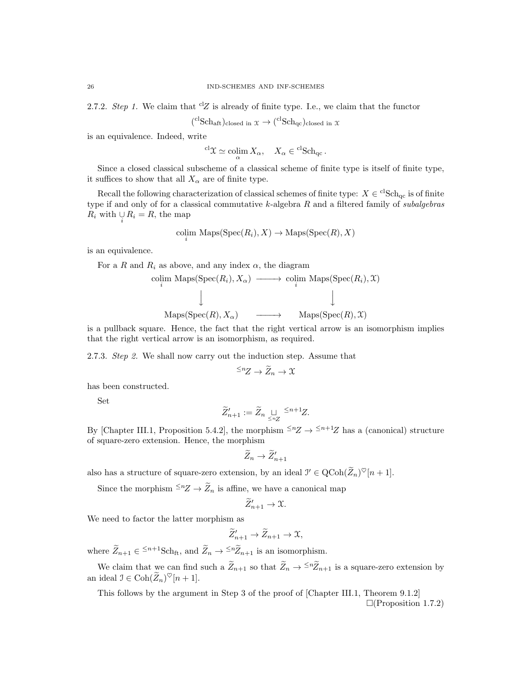2.7.2. Step 1. We claim that  ${}^{cl}Z$  is already of finite type. I.e., we claim that the functor

$$
(^{cl}Sch_{aft})_{closed\ in\ \mathcal{X}} \to (^{cl}Sch_{qc})_{closed\ in\ \mathcal{X}}
$$

is an equivalence. Indeed, write

 ${}^{\mathrm{cl}}\mathfrak{X} \simeq \operatornamewithlimits{colim}_{\alpha} X_{\alpha}, \quad X_{\alpha} \in {}^{\mathrm{cl}}\mathsf{Sch}_{\mathrm{qc}}.$ 

Since a closed classical subscheme of a classical scheme of finite type is itself of finite type, it suffices to show that all  $X_{\alpha}$  are of finite type.

Recall the following characterization of classical schemes of finite type:  $X \in {}^{cl}Sch_{qc}$  is of finite type if and only of for a classical commutative  $k$ -algebra  $R$  and a filtered family of subalgebras  $R_i$  with  $\bigcup_i R_i = R$ , the map

$$
\underset{i}{\text{colim}} \text{ Maps}(\text{Spec}(R_i), X) \to \text{Maps}(\text{Spec}(R), X)
$$

is an equivalence.

For a R and  $R_i$  as above, and any index  $\alpha$ , the diagram

$$
\begin{array}{ccc}\n\text{colim Maps}(\text{Spec}(R_i), X_\alpha) & \longrightarrow & \text{colim Maps}(\text{Spec}(R_i), \mathfrak{X}) \\
\downarrow & & \downarrow \\
\text{Maps}(\text{Spec}(R), X_\alpha) & \longrightarrow & \text{Maps}(\text{Spec}(R), \mathfrak{X})\n\end{array}
$$

is a pullback square. Hence, the fact that the right vertical arrow is an isomorphism implies that the right vertical arrow is an isomorphism, as required.

2.7.3. Step 2. We shall now carry out the induction step. Assume that

$$
\leq^n Z \to \widetilde{Z}_n \to \mathfrak{X}
$$

has been constructed.

Set

$$
\widetilde{Z}_{n+1}':=\widetilde{Z}_n\underset{\leq n_Z}{\sqcup} \xrightarrow{\leq n+1}Z.
$$

By [Chapter III.1, Proposition 5.4.2], the morphism  $\leq n \leq n+1$  has a (canonical) structure of square-zero extension. Hence, the morphism

$$
\widetilde{Z}_n \to \widetilde{Z}_{n+1}'
$$

also has a structure of square-zero extension, by an ideal  $\mathcal{I}' \in \text{QCoh}(\widetilde{Z}_n)^\heartsuit[n+1]$ .

Since the morphism  $\leq n \mathbb{Z} \to \widetilde{\mathbb{Z}}_n$  is affine, we have a canonical map

$$
\widetilde{Z}_{n+1}' \to \mathfrak{X}.
$$

We need to factor the latter morphism as

$$
\widetilde{Z}_{n+1}'\to \widetilde{Z}_{n+1}\to \mathfrak{X},
$$

where  $\widetilde{Z}_{n+1} \in \frac{\leq n+1}{n} \text{Sch}_{\text{ft}}$ , and  $\widetilde{Z}_n \to \frac{\leq n}{2} \widetilde{Z}_{n+1}$  is an isomorphism.

We claim that we can find such a  $\widetilde{Z}_{n+1}$  so that  $\widetilde{Z}_n \to \widetilde{Z}_{n+1}$  is a square-zero extension by an ideal  $\mathfrak{I} \in \mathrm{Coh}(\widetilde{Z}_n)^\heartsuit[n+1].$ 

This follows by the argument in Step 3 of the proof of [Chapter III.1, Theorem 9.1.2]

 $\Box$ (Proposition 1.7.2)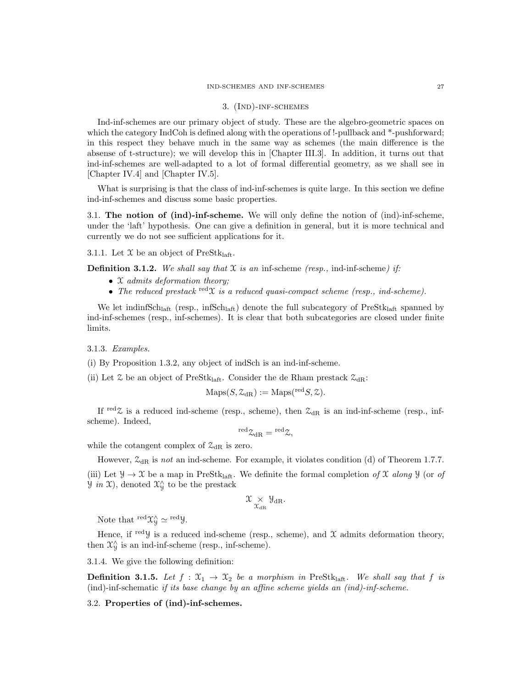#### 3. (Ind)-inf-schemes

Ind-inf-schemes are our primary object of study. These are the algebro-geometric spaces on which the category IndCoh is defined along with the operations of !-pullback and \*-pushforward; in this respect they behave much in the same way as schemes (the main difference is the absense of t-structure); we will develop this in [Chapter III.3]. In addition, it turns out that ind-inf-schemes are well-adapted to a lot of formal differential geometry, as we shall see in [Chapter IV.4] and [Chapter IV.5].

What is surprising is that the class of ind-inf-schemes is quite large. In this section we define ind-inf-schemes and discuss some basic properties.

3.1. The notion of (ind)-inf-scheme. We will only define the notion of (ind)-inf-scheme, under the 'laft' hypothesis. One can give a definition in general, but it is more technical and currently we do not see sufficient applications for it.

3.1.1. Let  $\mathfrak X$  be an object of PreStk<sub>laft</sub>.

**Definition 3.1.2.** We shall say that  $\mathcal X$  is an inf-scheme (resp., ind-inf-scheme) if:

- $\mathfrak X$  admits deformation theory;
- The reduced prestack  $\text{red} \mathfrak{X}$  is a reduced quasi-compact scheme (resp., ind-scheme).

We let indinfSch<sub>laft</sub> (resp., infSch<sub>laft</sub>) denote the full subcategory of  $Pres$ tk<sub>laft</sub> spanned by ind-inf-schemes (resp., inf-schemes). It is clear that both subcategories are closed under finite limits.

3.1.3. Examples.

(i) By Proposition 1.3.2, any object of indSch is an ind-inf-scheme.

(ii) Let  $\mathfrak L$  be an object of PreStk<sub>laft</sub>. Consider the de Rham prestack  $\mathfrak{Z}_{\text{dR}}$ :

$$
\mathrm{Maps}(S, \mathcal{Z}_{\mathrm{dR}}) := \mathrm{Maps}({}^{\mathrm{red}}S, \mathcal{Z}).
$$

If red  $\chi$  is a reduced ind-scheme (resp., scheme), then  $\mathcal{Z}_{dR}$  is an ind-inf-scheme (resp., infscheme). Indeed,

$$
{}^{\rm red} \mathfrak{L}_{\rm dR}={}^{\rm red} \mathfrak{L},
$$

while the cotangent complex of  $\mathcal{Z}_{dR}$  is zero.

However,  $\mathcal{Z}_{\text{dR}}$  is not an ind-scheme. For example, it violates condition (d) of Theorem 1.7.7.

(iii) Let  $\mathcal{Y} \to \mathcal{X}$  be a map in PreStk<sub>laft</sub>. We definite the formal completion of X along  $\mathcal{Y}$  (or of  $\mathcal{Y}$  in X), denoted  $\mathcal{X}_{\mathcal{Y}}^{\wedge}$  to be the prestack

$$
\mathfrak{X}_{\chi^{\mathcal{A}}_{\mathrm{dR}}} \mathfrak{Y}_{\mathrm{dR}}.
$$

Note that  $\mathrm{^{red}X^{\wedge}_{y}} \simeq \mathrm{^{red}Y}.$ 

Hence, if redy is a reduced ind-scheme (resp., scheme), and  $\mathfrak X$  admits deformation theory, then  $\mathfrak{X}_{\mathcal{Y}}^{\wedge}$  is an ind-inf-scheme (resp., inf-scheme).

3.1.4. We give the following definition:

**Definition 3.1.5.** Let  $f : \mathfrak{X}_1 \to \mathfrak{X}_2$  be a morphism in PreStk<sub>laft</sub>. We shall say that f is (ind)-inf-schematic if its base change by an affine scheme yields an (ind)-inf-scheme.

3.2. Properties of (ind)-inf-schemes.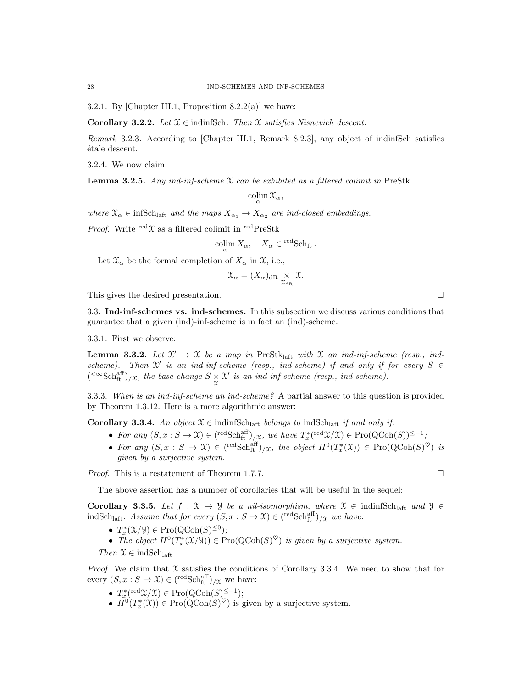3.2.1. By [Chapter III.1, Proposition 8.2.2(a)] we have:

Corollary 3.2.2. Let  $\mathfrak{X} \in \text{indinfSch.}$  Then  $\mathfrak{X}$  satisfies Nisnevich descent.

Remark 3.2.3. According to [Chapter III.1, Remark 8.2.3], any object of indinfSch satisfies  $étele$  descent.

3.2.4. We now claim:

**Lemma 3.2.5.** Any ind-inf-scheme  $X$  can be exhibited as a filtered colimit in PreStk

$$
\operatornamewithlimits{colim}_\alpha \mathfrak X_\alpha,
$$

where  $\mathfrak{X}_{\alpha} \in \text{infSch}_{\text{left}}$  and the maps  $X_{\alpha_1} \to X_{\alpha_2}$  are ind-closed embeddings.

*Proof.* Write  $\text{red}\mathfrak{X}$  as a filtered colimit in  $\text{redPreStk}$ 

colim  $X_{\alpha}$ ,  $X_{\alpha} \in {}^{\text{red}}Sch_{\text{ft}}$ .

Let  $\mathfrak{X}_{\alpha}$  be the formal completion of  $X_{\alpha}$  in  $\mathfrak{X}$ , i.e.,

$$
\mathfrak{X}_{\alpha} = (X_{\alpha})_{\mathrm{dR}} \underset{\mathfrak{X}_{\mathrm{dR}}}{\times} \mathfrak{X}.
$$

This gives the desired presentation.

3.3. Ind-inf-schemes vs. ind-schemes. In this subsection we discuss various conditions that guarantee that a given (ind)-inf-scheme is in fact an (ind)-scheme.

3.3.1. First we observe:

**Lemma 3.3.2.** Let  $\mathcal{X}' \to \mathcal{X}$  be a map in PreStk<sub>laft</sub> with  $\mathcal{X}$  an ind-inf-scheme (resp., indscheme). Then  $\mathcal{X}'$  is an ind-inf-scheme (resp., ind-scheme) if and only if for every  $S \in$  $(\text{Ker}^{\text{aff}})_{/\mathfrak{X}}$ , the base change  $S \underset{\mathfrak{X}}{\times} \mathfrak{X}'$  is an ind-inf-scheme (resp., ind-scheme).

3.3.3. When is an ind-inf-scheme an ind-scheme? A partial answer to this question is provided by Theorem 1.3.12. Here is a more algorithmic answer:

Corollary 3.3.4. An object  $\mathfrak{X} \in \text{indinfSch}_{\text{laff}}$  belongs to indSch<sub>laft</sub> if and only if:

- For any  $(S, x : S \to \mathfrak{X}) \in {\text{redSch}}_{\text{ft}}^{\text{aff}})_{/\mathfrak{X}}$ , we have  $T_x^*({\text{red}} \mathfrak{X}/\mathfrak{X}) \in \text{Pro}({\text{QCoh}}(S))^{\leq -1}$ ;
- For any  $(S, x : S \to \mathfrak{X}) \in (\text{redSch}_{ft}^{aff})_{/\mathfrak{X}}$ , the object  $H^0(T^*_x(\mathfrak{X})) \in \text{Pro}(\text{QCoh}(S)^{\heartsuit})$  is given by a surjective system.

*Proof.* This is a restatement of Theorem 1.7.7.

The above assertion has a number of corollaries that will be useful in the sequel:

Corollary 3.3.5. Let  $f: \mathfrak{X} \to \mathcal{Y}$  be a nil-isomorphism, where  $\mathfrak{X} \in \text{indinfSch}_{\text{laff}}$  and  $\mathcal{Y} \in$ indSch<sub>laft</sub>. Assume that for every  $(S, x : S \to \mathfrak{X}) \in {\text{redSch}}_{\text{ft}}^{\text{aff}}/_{/\mathfrak{X}}$  we have:

- $T_x^*(\mathfrak{X}/\mathfrak{Y}) \in \mathrm{Pro}(\mathrm{QCoh}(S)^{\leq 0});$
- The object  $H^0(T^*_x(\mathcal{X}/\mathcal{Y})) \in \text{Pro}(\text{QCoh}(S)^{\heartsuit})$  is given by a surjective system.

Then  $\mathfrak{X} \in \text{indSch}_{\text{left}}$ .

*Proof.* We claim that  $\mathfrak X$  satisfies the conditions of Corollary 3.3.4. We need to show that for every  $(S, x : S \to \mathfrak{X}) \in {\text{redSch}}_{\text{ft}}^{\text{aff}}/_{/\mathfrak{X}}$  we have:

- $T_x^*$ (<sup>red</sup> $\mathfrak{X}/\mathfrak{X}$ )  $\in \text{Pro}(\text{QCoh}(S)^{\leq -1})$ ;
- $H^0(T^*_x(\mathfrak{X})) \in \mathrm{Pro}(\mathrm{QCoh}(S)^{\heartsuit})$  is given by a surjective system.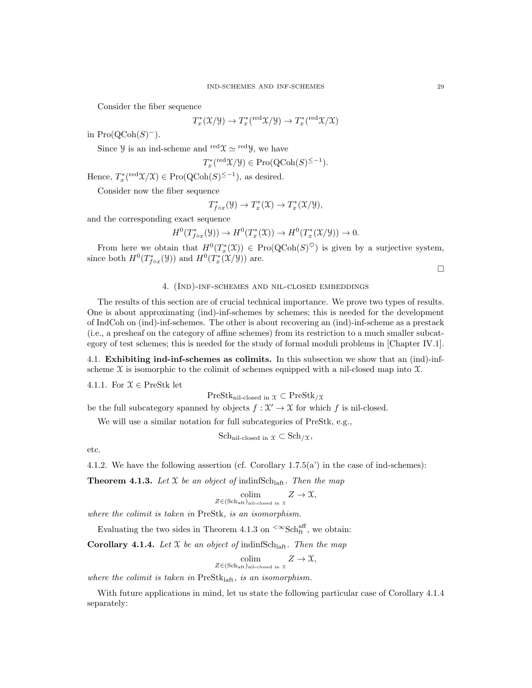Consider the fiber sequence

$$
T^*_{x}(\mathfrak{X}/\mathcal{Y}) \to T^*_{x}({\rm red}\mathfrak{X}/\mathcal{Y}) \to T^*_{x}({\rm red}\mathfrak{X}/\mathfrak{X})
$$

in  $\text{Pro}(\text{QCoh}(S)^-)$ .

Since *y* is an ind-scheme and  $\text{red}\chi \simeq \text{red}y$ , we have

$$
T_x^*({}^{\text{red}}\mathfrak{X}/\mathfrak{Y}) \in \text{Pro}(\text{QCoh}(S)^{\leq -1}).
$$

Hence,  $T_x^*({}^{\text{red}}\mathfrak{X}/\mathfrak{X}) \in \text{Pro}(\text{QCoh}(S)^{\leq -1})$ , as desired.

Consider now the fiber sequence

$$
T^*_{f\circ x}(\mathcal{Y})\to T^*_x(\mathcal{X})\to T^*_x(\mathcal{X}/\mathcal{Y}),
$$

and the corresponding exact sequence

 $H^0(T^*_{f \circ x}(\mathcal{Y})) \to H^0(T^*_x(\mathcal{X})) \to H^0(T^*_x(\mathcal{X}/\mathcal{Y})) \to 0.$ 

From here we obtain that  $H^0(T^*_x(\mathfrak{X})) \in \mathrm{Pro}(\mathrm{QCoh}(S)^{\heartsuit})$  is given by a surjective system, since both  $H^0(T^*_{f \circ x}(\mathcal{Y}))$  and  $H^0(T^*_{x}(\mathcal{X}/\mathcal{Y}))$  are.

 $\Box$ 

# 4. (Ind)-inf-schemes and nil-closed embeddings

The results of this section are of crucial technical importance. We prove two types of results. One is about approximating (ind)-inf-schemes by schemes; this is needed for the development of IndCoh on (ind)-inf-schemes. The other is about recovering an (ind)-inf-scheme as a prestack (i.e., a presheaf on the category of affine schemes) from its restriction to a much smaller subcategory of test schemes; this is needed for the study of formal moduli problems in [Chapter IV.1].

4.1. Exhibiting ind-inf-schemes as colimits. In this subsection we show that an (ind)-infscheme  $\mathfrak X$  is isomorphic to the colimit of schemes equipped with a nil-closed map into  $\mathfrak X$ .

4.1.1. For  $\mathcal{X} \in \text{PreStk}$  let

 $PreStk_{nil-closed in } \chi \subset PreStk_{}/\chi$ 

be the full subcategory spanned by objects  $f: \mathcal{X}' \to \mathcal{X}$  for which f is nil-closed.

We will use a similar notation for full subcategories of PreStk, e.g.,

 $Sch_{\text{nil-closed in }\mathfrak{X}} \subset Sch_{/\mathfrak{X}},$ 

etc.

4.1.2. We have the following assertion (cf. Corollary  $1.7.5(a)$ ) in the case of ind-schemes):

**Theorem 4.1.3.** Let X be an object of indinfSch<sub>laft</sub>. Then the map

$$
\underset{Z \in (\text{Sch}_{\text{aff}})_{\text{nil-closed in }\mathcal{X}}}{\text{colim}} Z \to \mathcal{X},
$$

where the colimit is taken in PreStk, is an isomorphism.

Evaluating the two sides in Theorem 4.1.3 on  $\leq \infty Sch_{ft}^{aff}$ , we obtain:

**Corollary 4.1.4.** Let X be an object of indinfSch<sub>laft</sub>. Then the map

$$
\underset{Z \in (\text{Sch}_{\text{aff}})_{\text{nil-closed in } X}}{\text{colim}} Z \to \mathfrak{X},
$$

where the colimit is taken in  $PreStk<sub>laff</sub>$ , is an isomorphism.

With future applications in mind, let us state the following particular case of Corollary 4.1.4 separately: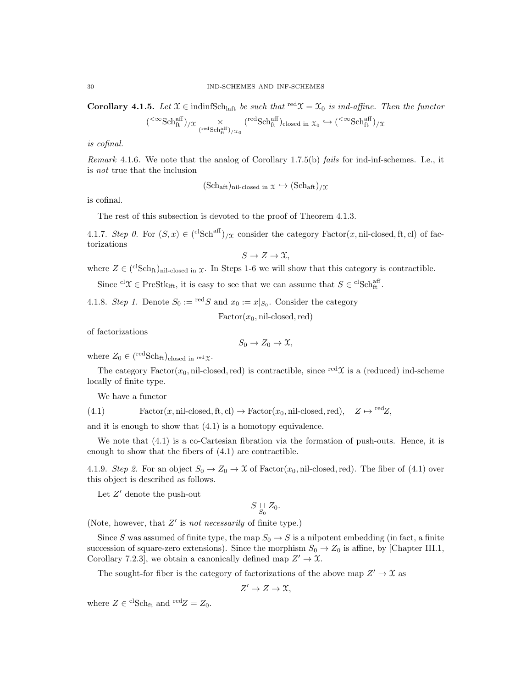Corollary 4.1.5. Let  $\mathfrak{X} \in \text{indinfSch}_{\text{laff}}$  be such that  $\text{red}\mathfrak{X} = \mathfrak{X}_0$  is ind-affine. Then the functor

$$
\langle \infty \text{Sch}_{\text{ft}}^{\text{aff}} \rangle / \mathfrak{X} \underset{\left( \text{redSch}_{\text{ft}}^{\text{aff}} \right) / \mathfrak{X}_0}{\times} \left( \text{redSch}_{\text{ft}}^{\text{eff}} \right)_{\text{closed in } \mathfrak{X}_0} \hookrightarrow \left( \text{modSch}_{\text{ft}}^{\text{aff}} \right) / \mathfrak{X}
$$

is cofinal.

(

Remark 4.1.6. We note that the analog of Corollary 1.7.5(b) fails for ind-inf-schemes. I.e., it is not true that the inclusion

$$
(Sch_{\text{aft}})_{\text{nil-closed in }} \chi \hookrightarrow (Sch_{\text{aft}})_{/\mathcal{X}}
$$

is cofinal.

The rest of this subsection is devoted to the proof of Theorem 4.1.3.

4.1.7. Step 0. For  $(S, x) \in {\rm (c^1Sch^{aff})}_{/\mathfrak{X}}$  consider the category Factor $(x, \text{nil-closed}, \text{ft}, \text{cl})$  of factorizations

$$
S \to Z \to \mathfrak{X},
$$

where  $Z \in {\rm (clSch<sub>ft</sub>)<sub>nil-closed in</sub>  $\chi$ . In Steps 1-6 we will show that this category is contractible.$ 

Since <sup>cl</sup> $\mathcal{X} \in \text{PreStk}_{\text{lf}}$ , it is easy to see that we can assume that  $S \in {}^{\text{cl}}\text{Sch}^{\text{aff}}_{\text{ft}}$ .

4.1.8. Step 1. Denote  $S_0 := \text{red } S$  and  $x_0 := x|_{S_0}$ . Consider the category

 $Factor(x_0, \text{nil-closed}, \text{red})$ 

of factorizations

$$
S_0 \to Z_0 \to \mathfrak{X},
$$

where  $Z_0 \in {\text{redSch}}_{\text{ft}})_{\text{closed in red}}$  x.

The category Factor( $x_0$ , nil-closed, red) is contractible, since <sup>red</sup> $\mathfrak X$  is a (reduced) ind-scheme locally of finite type.

We have a functor

(4.1) Factor(x, nil-closed, ft, cl)  $\rightarrow$  Factor(x<sub>0</sub>, nil-closed, red),  $Z \mapsto {}^{\text{red}}Z$ ,

and it is enough to show that (4.1) is a homotopy equivalence.

We note that  $(4.1)$  is a co-Cartesian fibration via the formation of push-outs. Hence, it is enough to show that the fibers of (4.1) are contractible.

4.1.9. Step 2. For an object  $S_0 \to Z_0 \to \mathcal{X}$  of Factor( $x_0$ , nil-closed, red). The fiber of (4.1) over this object is described as follows.

Let  $Z'$  denote the push-out

$$
S \underset{S_0}{\sqcup} Z_0.
$$

(Note, however, that  $Z'$  is not necessarily of finite type.)

Since S was assumed of finite type, the map  $S_0 \rightarrow S$  is a nilpotent embedding (in fact, a finite succession of square-zero extensions). Since the morphism  $S_0 \to Z_0$  is affine, by [Chapter III.1, Corollary 7.2.3, we obtain a canonically defined map  $Z' \to \mathfrak{X}$ .

The sought-for fiber is the category of factorizations of the above map  $Z' \to \mathfrak{X}$  as

$$
Z'\to Z\to\mathfrak{X},
$$

where  $Z \in {}^{\mathrm{cl}}\mathrm{Sch}_{\mathrm{ft}}$  and  ${}^{\mathrm{red}}Z = Z_0$ .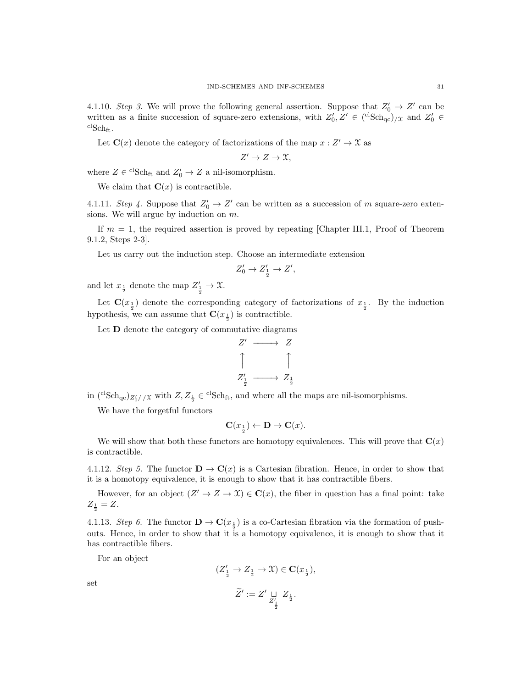4.1.10. Step 3. We will prove the following general assertion. Suppose that  $Z'_0 \rightarrow Z'$  can be written as a finite succession of square-zero extensions, with  $Z'_0, Z' \in {\rm ({}^clSch_{qc})}_{/\mathfrak{X}}$  and  $Z'_0 \in$  $\mathrm{c} \mathrm{lSch}_{\mathrm{ft}}$ .

Let  $\mathbf{C}(x)$  denote the category of factorizations of the map  $x: Z' \to \mathfrak{X}$  as

$$
Z' \to Z \to \mathfrak{X},
$$

where  $Z \in {}^{\mathrm{cl}}S\mathrm{ch}_{\mathrm{ft}}$  and  $Z'_0 \to Z$  a nil-isomorphism.

We claim that  $\mathbf{C}(x)$  is contractible.

4.1.11. Step 4. Suppose that  $Z'_0 \to Z'$  can be written as a succession of m square-zero extensions. We will argue by induction on m.

If  $m = 1$ , the required assertion is proved by repeating [Chapter III.1, Proof of Theorem 9.1.2, Steps 2-3].

Let us carry out the induction step. Choose an intermediate extension

$$
Z'_0 \to Z'_{\frac{1}{2}} \to Z',
$$

and let  $x_{\frac{1}{2}}$  denote the map  $Z'_{\frac{1}{2}} \to \mathfrak{X}$ .

Let  $\mathbf{C}(x_{\frac{1}{2}})$  denote the corresponding category of factorizations of  $x_{\frac{1}{2}}$ . By the induction hypothesis, we can assume that  $\mathbf{C}(x_{\frac{1}{2}})$  is contractible.

Let **D** denote the category of commutative diagrams



in  $({}^{cl}Sch_{qc})_{Z'_0//X}$  with  $Z, Z_{\frac{1}{2}} \in {}^{cl}Sch_{ft}$ , and where all the maps are nil-isomorphisms.

We have the forgetful functors

$$
\mathbf{C}(x_{\frac{1}{2}}) \leftarrow \mathbf{D} \rightarrow \mathbf{C}(x).
$$

We will show that both these functors are homotopy equivalences. This will prove that  $\mathbf{C}(x)$ is contractible.

4.1.12. Step 5. The functor  $\mathbf{D} \to \mathbf{C}(x)$  is a Cartesian fibration. Hence, in order to show that it is a homotopy equivalence, it is enough to show that it has contractible fibers.

However, for an object  $(Z' \to Z \to \mathfrak{X}) \in \mathbf{C}(x)$ , the fiber in question has a final point: take  $Z_{\frac{1}{2}} = Z.$ 

4.1.13. Step 6. The functor  $\mathbf{D} \to \mathbf{C}(x_{\frac{1}{2}})$  is a co-Cartesian fibration via the formation of pushouts. Hence, in order to show that it is a homotopy equivalence, it is enough to show that it has contractible fibers.

For an object

$$
\begin{array}{ccc} (Z_{\frac{1}{2}}^{\prime} \rightarrow Z_{\frac{1}{2}} \rightarrow \mathfrak{X}) \in \mathbf{C}(x_{\frac{1}{2}}), & & \\ & \widetilde{Z}^{\prime} := Z^{\prime} \mathop{\cup}\limits_{Z_{\frac{1}{2}}} Z_{\frac{1}{2}}. & \end{array}
$$

set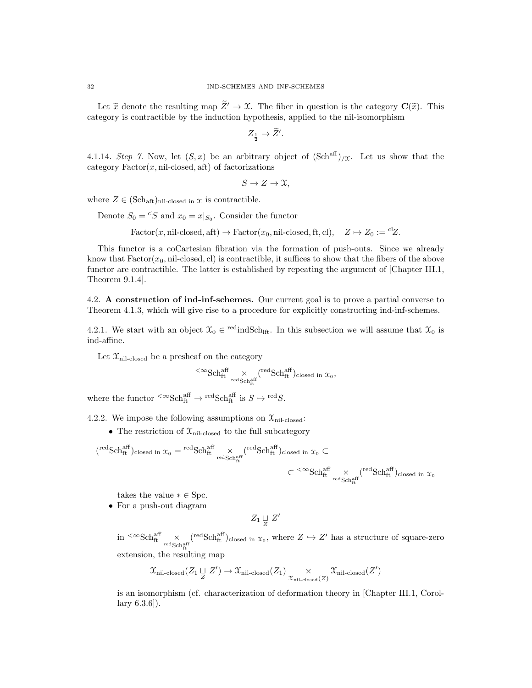Let  $\tilde{x}$  denote the resulting map  $\tilde{Z}' \to \mathfrak{X}$ . The fiber in question is the category  $\mathbf{C}(\tilde{x})$ . This category is contractible by the induction hypothesis, applied to the nil-isomorphism

$$
Z_{\frac{1}{2}} \to \widetilde{Z}'.
$$

4.1.14. Step 7. Now, let  $(S, x)$  be an arbitrary object of  $(\text{Sch}^{\text{aff}})_{/\mathfrak{X}}$ . Let us show that the category  $Factor(x, \text{nil-closed}, \text{aft})$  of factorizations

$$
S \to Z \to \mathfrak{X},
$$

where  $Z \in (\text{Sch}_{\text{aff}})_{\text{nil-closed in } \mathfrak{X}}$  is contractible.

Denote  $S_0 = {}^{cl}S$  and  $x_0 = x|_{S_0}$ . Consider the functor

Factor(x, nil-closed, aft)  $\rightarrow$  Factor(x<sub>0</sub>, nil-closed, ft, cl),  $Z \mapsto Z_0 := {}^{\text{cl}}Z.$ 

This functor is a coCartesian fibration via the formation of push-outs. Since we already know that  $Factor(x_0, \text{nil-closed}, \text{cl})$  is contractible, it suffices to show that the fibers of the above functor are contractible. The latter is established by repeating the argument of [Chapter III.1, Theorem 9.1.4].

4.2. A construction of ind-inf-schemes. Our current goal is to prove a partial converse to Theorem 4.1.3, which will give rise to a procedure for explicitly constructing ind-inf-schemes.

4.2.1. We start with an object  $\mathfrak{X}_0 \in \text{redindSch}_{\text{lft}}$ . In this subsection we will assume that  $\mathfrak{X}_0$  is ind-affine.

Let  $\mathfrak{X}_{\text{nil-closed}}$  be a presheaf on the category

$$
{}^{<\infty}\mathrm{Sch}^{\mathrm{aff}}_{\mathrm{ft}}\underset{\mathrm{red\,Sch}^{\mathrm{aff}}_{\mathrm{ft}}}{\times}({}^{\mathrm{red}}\mathrm{Sch}^{\mathrm{aff}}_{\mathrm{ft}})_{\mathrm{closed\ in\ }\mathcal{X}_0},
$$

where the functor  ${}^{<\infty} {\rm Sch}^{\rm aff}_{\rm ft} \to {}^{\rm red} {\rm Sch}^{\rm aff}_{\rm ft}$  is  $S \mapsto {}^{\rm red}S$ .

4.2.2. We impose the following assumptions on  $\mathfrak{X}_{\text{nil-closed}}$ :

• The restriction of  $\mathfrak{X}_{\text{nil-closed}}$  to the full subcategory

$$
\begin{aligned} ({}^{\text{red}}\text{Sch}^{\text{aff}}_{\text{ft}})_{\text{closed in }\mathcal{X}_0} = {}^{\text{red}}\text{Sch}^{\text{aff}}_{\text{ft}} \times \\ &\times\\ &\subset {}^{<\infty}\text{Sch}^{\text{aff}}_{\text{ft}} \times {}^{\text{red}}\text{Sch}^{\text{aff}}_{\text{ft}})_{\text{closed in }\mathcal{X}_0} \end{aligned} \subset {}^{<\infty}\text{Sch}^{\text{aff}}_{\text{ft}} \times {}^{\text{red}}\text{Sch}^{\text{aff}}_{\text{ft}})_{\text{closed in }\mathcal{X}_0}
$$

takes the value  $* \in \text{Spc}$ .

• For a push-out diagram

$$
Z_1 \underset{Z}{\sqcup} Z'
$$

 $\sin \frac{<\infty}{\text{Sch}^{\text{aff}}_{\text{ft}}}\times \text{H}_{\text{Sch}^{\text{aff}}_{\text{ft}}}$  $({\rm redSch}^{\rm aff}_{\rm ft})_{\rm closed\ in\ \mathfrak{X}_0},$  where  $Z\hookrightarrow Z'$  has a structure of square-zero extension, the resulting map

$$
\mathfrak{X}_{\text{nil-closed}}(Z_1 \sqcup Z') \to \mathfrak{X}_{\text{nil-closed}}(Z_1) \underset{\mathfrak{X}_{\text{nil-closed}}(Z)}{\times} \mathfrak{X}_{\text{nil-closed}}(Z')
$$

is an isomorphism (cf. characterization of deformation theory in [Chapter III.1, Corollary 6.3.6]).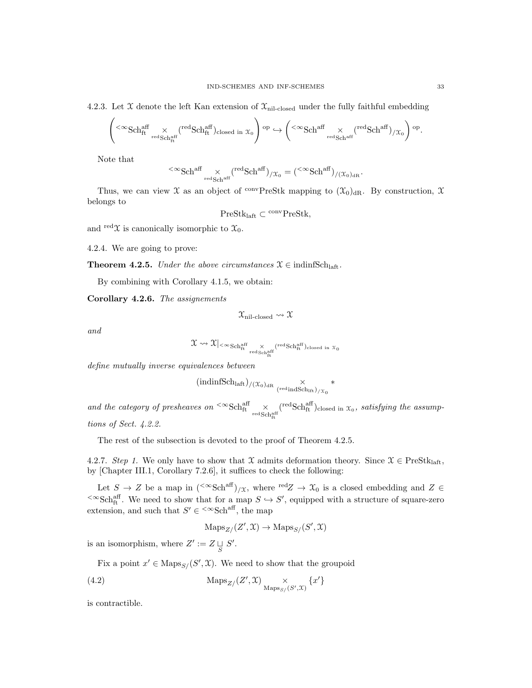4.2.3. Let X denote the left Kan extension of  $\mathfrak{X}_{\text{nil-closed}}$  under the fully faithful embedding

$$
\left(\text{<}^{\infty}\text{Sch}^{\text{aff}}_{\text{ft}}\underset{\text{redSch}^{\text{aff}}_{\text{ft}}}{\times}(\text{redSch}^{\text{aff}}_{\text{ft}})_{\text{closed in }\mathfrak{X}_{0}}\right)^{\text{op}}\hookrightarrow \left(\text{<}^{\infty}\text{Sch}^{\text{aff}}_{\text{redSch}^{\text{aff}}}\underset{\text{redSch}^{\text{aff}}}{\times}(\text{redSch}^{\text{aff}})_{/\mathfrak{X}_{0}}\right)^{\text{op}}.
$$

Note that

$$
{}^{<\infty}\mathrm{Sch}^{\mathrm{aff}}\underset{\mathrm{red\,Sch}^{\mathrm{aff}}}{\times}({}^{\mathrm{red}}\mathrm{Sch}^{\mathrm{aff}})_{/\mathfrak{X}_{0}}=({}^{<\infty}\mathrm{Sch}^{\mathrm{aff}})_{/(\mathfrak{X}_{0})_{\mathrm{dR}}}.
$$

Thus, we can view  $\mathfrak X$  as an object of <sup>conv</sup>PreStk mapping to  $(\mathfrak X_0)_{\rm dR}$ . By construction,  $\mathfrak X$ belongs to

 $PreStk<sub>laff</sub> \subset \n\frac{conv}{PreStk},$ 

and red  $\mathfrak{X}$  is canonically isomorphic to  $\mathfrak{X}_0$ .

4.2.4. We are going to prove:

**Theorem 4.2.5.** Under the above circumstances  $\mathcal{X} \in \text{indinfSch}_{\text{laff}}$ .

By combining with Corollary 4.1.5, we obtain:

Corollary 4.2.6. The assignements

$$
\mathfrak{X}_{\rm nil-closed}\leadsto\mathfrak{X}
$$

and

$$
\mathfrak{X} \rightsquigarrow \mathfrak{X}|_{< \infty} \textup{Sch}^{\textup{aff}}_{\textup{ft}} \underset{\textup{red}\, \textup{Sch}^{\textup{aff}}_{\textup{ft}}}{\times} {}^{(\textup{red}\, \textup{Sch}^{\textup{aff}}_{\textup{ft}})_{\textup{closed in}}}\, x_0
$$

define mutually inverse equivalences between

$$
(\mathrm{indinfSch}_{\mathrm{laff}})_{/(\mathfrak{X}_0)_{\mathrm{dR}}}\underset{(\mathrm{red}\, \mathrm{indSch}_{\mathrm{lft}})_{/\mathfrak{X}_0}}{\times} *
$$

and the category of presheaves on  ${}^{\text{<}\infty}\text{Sch}_\text{ft}^\text{aff}$   $\times$  redschaft  $({}^{\text{red}}\text{Sch}^{\text{aff}}_{\text{ft}})$ closed in  $x_0$ , satisfying the assumptions of Sect. 4.2.2.

The rest of the subsection is devoted to the proof of Theorem 4.2.5.

4.2.7. Step 1. We only have to show that X admits deformation theory. Since  $\mathcal{X} \in \text{PreStk}_{\text{left}}$ by [Chapter III.1, Corollary 7.2.6], it suffices to check the following:

Let  $S \to Z$  be a map in  $({}^{<\infty} {\rm Sch}^{\rm aff})_{/\mathfrak{X}}$ , where  ${}^{\rm red}Z \to \mathfrak{X}_0$  is a closed embedding and  $Z \in$  $\leq$  ∞Sch<sub>i</sub>ff. We need to show that for a map  $S \to S'$ , equipped with a structure of square-zero extension, and such that  $S' \in \left\{ \infty \text{Sch}^{\text{aff}}\right\}$ , the map

$$
\mathrm{Maps}_{Z/}(Z', \mathfrak{X}) \to \mathrm{Maps}_{S/}(S', \mathfrak{X})
$$

is an isomorphism, where  $Z' := Z \sqcup_S S'.$ 

Fix a point  $x' \in \text{Maps}_{S}/(S', \mathfrak{X})$ . We need to show that the groupoid

(4.2) 
$$
\operatorname{Maps}_{Z}/(Z', \mathfrak{X}) \underset{\operatorname{Maps}_{S}/(S', \mathfrak{X})}{\times} \{x'\}
$$

is contractible.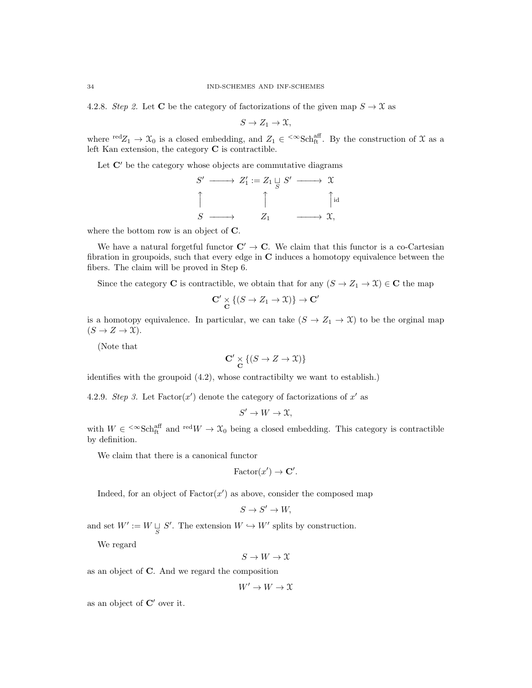4.2.8. Step 2. Let C be the category of factorizations of the given map  $S \to \mathfrak{X}$  as

$$
S \to Z_1 \to \mathfrak{X},
$$

where  $\text{red}Z_1 \to \mathfrak{X}_0$  is a closed embedding, and  $Z_1 \in \text{~}^{\text{co}}\text{Sch}^{\text{aff}}_t$ . By the construction of X as a left Kan extension, the category  $C$  is contractible.

Let  $\mathbb{C}'$  be the category whose objects are commutative diagrams

$$
S' \longrightarrow Z'_1 := Z_1 \sqcup_{S} S' \longrightarrow \mathfrak{X}
$$
  
\n
$$
\uparrow \qquad \qquad \uparrow \qquad \qquad \uparrow \qquad \qquad \downarrow
$$
  
\n
$$
S \longrightarrow Z_1 \longrightarrow \mathfrak{X},
$$

where the bottom row is an object of C.

We have a natural forgetful functor  $\mathbf{C}' \to \mathbf{C}$ . We claim that this functor is a co-Cartesian fibration in groupoids, such that every edge in C induces a homotopy equivalence between the fibers. The claim will be proved in Step 6.

Since the category **C** is contractible, we obtain that for any  $(S \to Z_1 \to \mathcal{X}) \in \mathbb{C}$  the map

$$
\mathbf{C'} \underset{\mathbf{C}}{\times} \{ (S \to Z_1 \to \mathfrak{X}) \} \to \mathbf{C'}
$$

is a homotopy equivalence. In particular, we can take  $(S \to Z_1 \to \mathfrak{X})$  to be the orginal map  $(S \to Z \to \mathfrak{X}).$ 

(Note that

$$
\mathbf{C'} \underset{\mathbf{C}}{\times} \{ (S \to Z \to \mathfrak{X}) \}
$$

identifies with the groupoid (4.2), whose contractibilty we want to establish.)

4.2.9. Step 3. Let  $Factor(x')$  denote the category of factorizations of x' as

$$
S' \to W \to \mathfrak{X},
$$

with  $W \in \langle \infty \text{Sch}_{\text{ft}}^{\text{aff}} \text{ and } {}^{\text{red}}W \to \mathfrak{X}_0$  being a closed embedding. This category is contractible by definition.

We claim that there is a canonical functor

$$
\text{Factor}(x') \to \mathbf{C}'.
$$

Indeed, for an object of  $Factor(x')$  as above, consider the composed map

$$
S \to S' \to W,
$$

and set  $W' := W \sqcup_{S} S'$ . The extension  $W \hookrightarrow W'$  splits by construction.

We regard

$$
S \to W \to \mathfrak{X}
$$

as an object of C. And we regard the composition

 $W' \to W \to \mathfrak{X}$ 

as an object of  $\mathbb{C}'$  over it.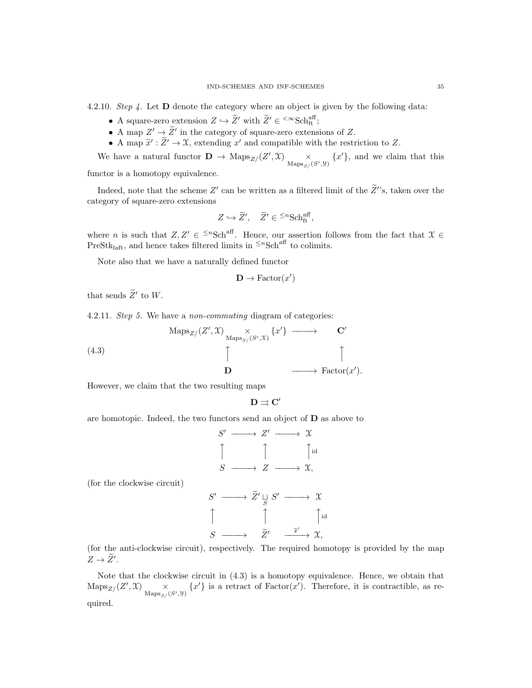4.2.10. Step 4. Let D denote the category where an object is given by the following data:

- A square-zero extension  $Z \hookrightarrow \widetilde{Z}'$  with  $\widetilde{Z}' \in \{^{\infty} {\rm Sch}_{\rm ft}^{\rm aff};$
- A map  $Z' \to \tilde{Z}'$  in the category of square-zero extensions of Z.
- A map  $\tilde{x}' : \tilde{Z}' \to \mathfrak{X}$ , extending  $x'$  and compatible with the restriction to Z.

We have a natural functor  $\mathbf{D} \to \text{Maps}_{Z}/(Z', \mathfrak{X})$   $\times$  $\underset{\text{Maps}_{S}(S',\mathcal{Y})}{\times} \{x'\}$ , and we claim that this

functor is a homotopy equivalence.

Indeed, note that the scheme Z' can be written as a filtered limit of the  $\tilde{Z}$ ''s, taken over the category of square-zero extensions

$$
Z \hookrightarrow \widetilde{Z}', \quad \widetilde{Z}' \in {}^{\leq n} {\rm Sch}^{\rm aff}_{\rm ft},
$$

where *n* is such that  $Z, Z' \in \leq^n \text{Sch}^{\text{aff}}$ . Hence, our assertion follows from the fact that  $\mathfrak{X} \in$ PreStk<sub>laft</sub>, and hence takes filtered limits in <sup> $\leq n$ </sup>Sch<sup>aff</sup> to colimits.

Note also that we have a naturally defined functor

$$
\mathbf{D} \to \text{Factor}(x')
$$

that sends  $\widetilde{Z}'$  to W.

4.2.11. Step 5. We have a non-commuting diagram of categories:

(4.3)  
\n
$$
\operatorname{Maps}_{Z/}(Z', \mathfrak{X}) \xrightarrow{\times} \{x'\} \longrightarrow C'
$$
\n
$$
\uparrow
$$
\n
$$
\uparrow
$$
\n
$$
\uparrow
$$
\n
$$
\downarrow
$$
\n
$$
\uparrow
$$
\n
$$
\downarrow
$$
\n
$$
\uparrow
$$
\n
$$
\downarrow
$$
\n
$$
\uparrow
$$
\n
$$
\downarrow
$$
\n
$$
\downarrow
$$
\n
$$
\downarrow
$$
\n
$$
\downarrow
$$
\n
$$
\downarrow
$$
\n
$$
\downarrow
$$
\n
$$
\downarrow
$$
\n
$$
\downarrow
$$
\n
$$
\downarrow
$$
\n
$$
\downarrow
$$
\n
$$
\downarrow
$$
\n
$$
\downarrow
$$
\n
$$
\downarrow
$$
\n
$$
\downarrow
$$
\n
$$
\downarrow
$$
\n
$$
\downarrow
$$
\n
$$
\downarrow
$$
\n
$$
\downarrow
$$
\n
$$
\downarrow
$$
\n
$$
\downarrow
$$
\n
$$
\downarrow
$$
\n
$$
\downarrow
$$
\n
$$
\downarrow
$$
\n
$$
\downarrow
$$
\n
$$
\downarrow
$$
\n
$$
\downarrow
$$
\n
$$
\downarrow
$$
\n
$$
\downarrow
$$
\n
$$
\downarrow
$$
\n
$$
\downarrow
$$
\n
$$
\downarrow
$$
\n
$$
\downarrow
$$
\n
$$
\downarrow
$$
\n
$$
\downarrow
$$
\n
$$
\downarrow
$$
\n
$$
\downarrow
$$
\n
$$
\downarrow
$$
\n
$$
\downarrow
$$
\n
$$
\downarrow
$$
\n
$$
\downarrow
$$
\n
$$
\downarrow
$$
\n
$$
\downarrow
$$
\n
$$
\downarrow
$$
\n
$$
\downarrow
$$
\n
$$
\downarrow
$$
\n
$$
\downarrow
$$
\n
$$
\downarrow
$$
\n
$$
\downarrow
$$
\n
$$
\downarrow
$$
\n
$$
\downarrow
$$
\n
$$
\downarrow
$$

However, we claim that the two resulting maps

$$
\mathbf{D}\rightrightarrows\mathbf{C}'
$$

are homotopic. Indeed, the two functors send an object of  **as above to** 

$$
S' \longrightarrow Z' \longrightarrow \mathfrak{X}
$$
  
\n
$$
\uparrow \qquad \qquad \uparrow \qquad \qquad \uparrow \text{id}
$$
  
\n
$$
S \longrightarrow Z \longrightarrow \mathfrak{X},
$$
  
\n
$$
\longrightarrow \widetilde{Z}' \sqcupneq S' \longrightarrow \mathfrak{X}
$$

(for the clockwise circuit)

$$
S' \longrightarrow \widetilde{Z}' \sqcup_{S} S' \longrightarrow \mathfrak{X}
$$
  
\n
$$
\uparrow \qquad \qquad \uparrow \qquad \qquad \uparrow \text{id}
$$
  
\n
$$
S \longrightarrow \widetilde{Z}' \xrightarrow{\widetilde{x}'} \mathfrak{X},
$$

(for the anti-clockwise circuit), respectively. The required homotopy is provided by the map  $Z \rightarrow \widetilde{Z}'$ .

Note that the clockwise circuit in (4.3) is a homotopy equivalence. Hence, we obtain that  $\mathrm{Maps}_{Z}/(Z', \mathfrak{X}) \longrightarrow$  $\times$  {x'} is a retract of Factor(x'). Therefore, it is contractible, as re-<br>Maps<sub>S/</sub>(S',y) quired.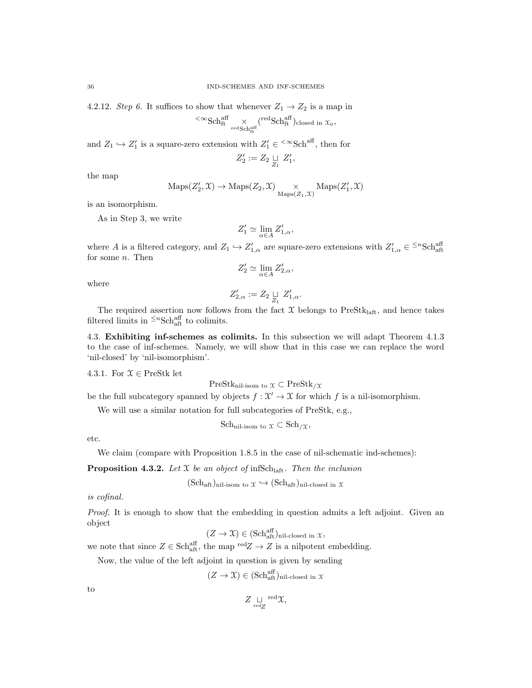4.2.12. Step 6. It suffices to show that whenever  $Z_1 \rightarrow Z_2$  is a map in  ${}^{<\infty}{\rm Sch}^{{\mathop{\rm aff}}}_{\rm ft} \times$ red ${\rm Sch}^{{\mathop{\rm aff}}}_{\rm ft}$  $({}^{\text{red}}\text{Sch}^{\text{aff}}_{\text{ft}})$ closed in  $\mathfrak{X}_0$ ,

and  $Z_1 \hookrightarrow Z'_1$  is a square-zero extension with  $Z'_1 \in \text{&}\infty$ Sch<sup>aff</sup>, then for

$$
Z'_2:=Z_2\mathop{\sqcup}\limits_{Z_1}~Z'_1
$$

,

the map

$$
\mathrm{Maps}(Z'_2,\mathfrak{X})\to\mathrm{Maps}(Z_2,\mathfrak{X})\underset{\mathrm{Maps}(Z_1,\mathfrak{X})}{\times}\mathrm{Maps}(Z'_1,\mathfrak{X})
$$

is an isomorphism.

As in Step 3, we write

$$
Z_1' \simeq \lim_{\alpha \in A} Z_{1,\alpha}',
$$

where A is a filtered category, and  $Z_1 \hookrightarrow Z'_{1,\alpha}$  are square-zero extensions with  $Z'_{1,\alpha} \in {}^{\leq n} {\rm Sch}^{\rm aff}_{\rm aff}$ for some  $n$ . Then

$$
Z'_2\simeq \lim_{\alpha\in A}Z'_{2,\alpha},
$$

where

$$
Z_{2,\alpha}':=Z_2\mathop{\sqcup}\limits_{Z_1} Z_{1,\alpha}'.
$$

The required assertion now follows from the fact  $\mathfrak X$  belongs to PreSt $k_{\mathrm{laff}}$ , and hence takes filtered limits in  $\leq^n \text{Sch}^{\text{aff}}_{\text{aff}}$  to colimits.

4.3. Exhibiting inf-schemes as colimits. In this subsection we will adapt Theorem 4.1.3 to the case of inf-schemes. Namely, we will show that in this case we can replace the word 'nil-closed' by 'nil-isomorphism'.

4.3.1. For  $\mathfrak{X} \in \text{PreStk}$  let

$$
\mathrm{PreStk}_{\mathrm{nil\text{-}isom to}}~\chi\subset\mathrm{PreStk}_{/\mathfrak{X}}
$$

be the full subcategory spanned by objects  $f: \mathcal{X}' \to \mathcal{X}$  for which f is a nil-isomorphism.

We will use a similar notation for full subcategories of PreStk, e.g.,

Sch<sub>nil-isom to</sub> 
$$
\mathfrak{X} \subset
$$
 Sch $/\mathfrak{X}$ ,

etc.

We claim (compare with Proposition 1.8.5 in the case of nil-schematic ind-schemes):

**Proposition 4.3.2.** Let  $X$  be an object of infSch<sub>laft</sub>. Then the inclusion

$$
(Sch_{\text{aft}})_{\text{nil-isom to }} \chi \hookrightarrow (Sch_{\text{aft}})_{\text{nil-closed in }} \chi
$$

is cofinal.

Proof. It is enough to show that the embedding in question admits a left adjoint. Given an object

$$
(Z \to \mathfrak{X}) \in (\mathbf{Sch}^{\mathrm{aff}}_{\mathrm{aft}})_{\mathrm{nil-closed \ in \ \mathfrak{X}}},
$$

we note that since  $Z \in \text{Sch}^{\text{aff}}_{\text{aff}}$ , the map  $\text{red}Z \to Z$  is a nilpotent embedding.

Now, the value of the left adjoint in question is given by sending

$$
(Z \to \mathfrak{X}) \in (\mathbf{Sch}^{\mathrm{aff}}_{\mathrm{aff}})_{\mathrm{nil-closed \ in \ } \mathfrak{X}}
$$

to

$$
Z \underset{\mathrm{red}Z}{\sqcup} \mathrm{red} \chi,
$$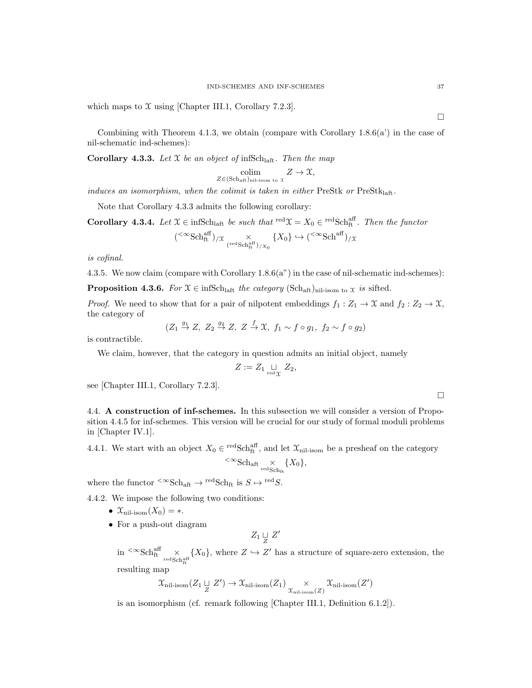which maps to  $\mathfrak X$  using [Chapter III.1, Corollary 7.2.3].

Combining with Theorem 4.1.3, we obtain (compare with Corollary  $1.8.6(a)$ ) in the case of nil-schematic ind-schemes):

**Corollary 4.3.3.** Let  $X$  be an object of infSch<sub>laft</sub>. Then the map

$$
\underset{Z \in (\mathrm{Sch}_\mathrm{aft})_{\mathrm{nil-isom \ to \ } X}}{\mathrm{colim}} Z \to \mathfrak{X},
$$

induces an isomorphism, when the colimit is taken in either PreStk or  $PreStk<sub>latt</sub>$ .

Note that Corollary 4.3.3 admits the following corollary:

**Corollary 4.3.4.** Let  $\mathcal{X} \in \text{infSch}_{\text{left}}$  be such that  $\text{red}\mathcal{X} = X_0 \in \text{redSch}_{\text{ft}}^{\text{aff}}$ . Then the functor

$$
({}^{<\infty}{\rm Sch}^{\rm aff}_{\rm ft})_{/X} \underset{({}^{\rm red}{\rm Sch}^{\rm aff}_{\rm ft})_{/X_0}}{\times} \{X_0\} \hookrightarrow ({}^{<\infty}{\rm Sch}^{\rm aff})_{/X}
$$

is cofinal.

4.3.5. We now claim (compare with Corollary 1.8.6(a") in the case of nil-schematic ind-schemes):

**Proposition 4.3.6.** For  $\mathfrak{X} \in \text{infSch}_{\text{laff}}$  the category  $(\text{Sch}_{\text{aff}})_{\text{nil-isom to } \mathfrak{X}}$  is sifted.

*Proof.* We need to show that for a pair of nilpotent embeddings  $f_1 : Z_1 \to \mathfrak{X}$  and  $f_2 : Z_2 \to \mathfrak{X}$ , the category of

$$
(Z_1 \stackrel{g_1}{\rightarrow} Z, Z_2 \stackrel{g_2}{\rightarrow} Z, Z \stackrel{f}{\rightarrow} \mathfrak{X}, f_1 \sim f \circ g_1, f_2 \sim f \circ g_2)
$$

is contractible.

We claim, however, that the category in question admits an initial object, namely

$$
Z:=Z_1\mathop{\sqcup}\limits_{\rm red\,\chi} \; Z_2,
$$

see [Chapter III.1, Corollary 7.2.3].

4.4. A construction of inf-schemes. In this subsection we will consider a version of Proposition 4.4.5 for inf-schemes. This version will be crucial for our study of formal moduli problems in [Chapter IV.1].

4.4.1. We start with an object  $X_0 \in \text{redSch}^{\text{aff}}_{\text{ft}}$ , and let  $\mathfrak{X}_{\text{nil-isom}}$  be a presheaf on the category

$$
\leq \infty \text{Sch}_{\text{aft}} \times \{X_0\},\
$$

where the functor  ${}^{<\infty}$ Sch<sub>aft</sub>  $\rightarrow$  <sup>red</sup>Sch<sub>ft</sub> is  $S \mapsto {}^{\text{red}}S$ .

4.4.2. We impose the following two conditions:

- $\mathfrak{X}_{\mathrm{nil-isom}}(X_0) = *$ .
- For a push-out diagram

 $Z_1 \underset{Z}{\sqcup} Z'$ 

 $\sin \frac{<\infty}{\text{Sch}^{\text{aff}}_{\text{ft}}}\times$  ${X_0}$ , where  $Z \hookrightarrow Z'$  has a structure of square-zero extension, the

resulting map

$$
\mathfrak{X}_{\text{nil-isom}}(Z_1 \sqcup Z') \to \mathfrak{X}_{\text{nil-isom}}(Z_1) \underset{\mathfrak{X}_{\text{nil-isom}}(Z)}{\times} \mathfrak{X}_{\text{nil-isom}}(Z')
$$

is an isomorphism (cf. remark following [Chapter III.1, Definition 6.1.2]).

 $\Box$ 

 $\Box$